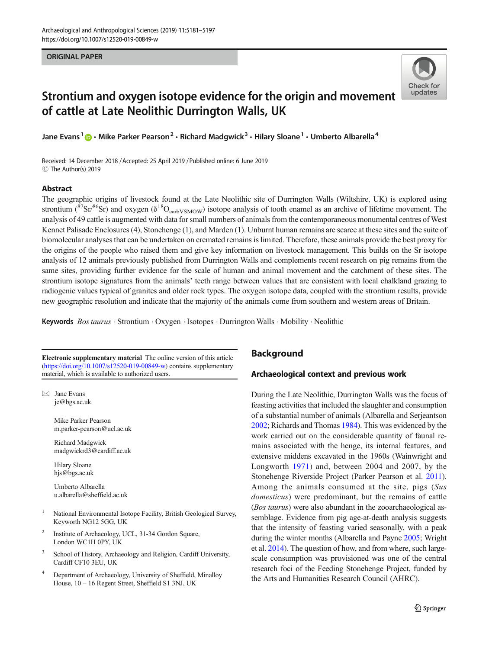#### ORIGINAL PAPER



# Strontium and oxygen isotope evidence for the origin and movement of cattle at Late Neolithic Durrington Walls, UK

Jane Evans<sup>1</sup>  $\cdot$  Mike Parker Pearson<sup>2</sup>  $\cdot$  Richard Madgwick<sup>3</sup>  $\cdot$  Hilary Sloane<sup>1</sup>  $\cdot$  Umberto Albarella<sup>4</sup>

Received: 14 December 2018 /Accepted: 25 April 2019 /Published online: 6 June 2019 C The Author(s) 2019

#### Abstract

The geographic origins of livestock found at the Late Neolithic site of Durrington Walls (Wiltshire, UK) is explored using strontium ( ${}^{87}Sr/{}^{86}Sr$ ) and oxygen ( $\delta {}^{18}O_{\text{carbVSMOW}}$ ) isotope analysis of tooth enamel as an archive of lifetime movement. The analysis of 49 cattle is augmented with data for small numbers of animals from the contemporaneous monumental centres of West Kennet Palisade Enclosures (4), Stonehenge (1), and Marden (1). Unburnt human remains are scarce at these sites and the suite of biomolecular analyses that can be undertaken on cremated remains is limited. Therefore, these animals provide the best proxy for the origins of the people who raised them and give key information on livestock management. This builds on the Sr isotope analysis of 12 animals previously published from Durrington Walls and complements recent research on pig remains from the same sites, providing further evidence for the scale of human and animal movement and the catchment of these sites. The strontium isotope signatures from the animals' teeth range between values that are consistent with local chalkland grazing to radiogenic values typical of granites and older rock types. The oxygen isotope data, coupled with the strontium results, provide new geographic resolution and indicate that the majority of the animals come from southern and western areas of Britain.

Keywords Bos taurus · Strontium · Oxygen · Isotopes · Durrington Walls · Mobility · Neolithic

Electronic supplementary material The online version of this article (<https://doi.org/10.1007/s12520-019-00849-w>) contains supplementary material, which is available to authorized users.

 $\boxtimes$  Jane Evans [je@bgs.ac.uk](mailto:je@bgs.ac.uk)

> Mike Parker Pearson m.parker-pearson@ucl.ac.uk

> Richard Madgwick madgwickrd3@cardiff.ac.uk

Hilary Sloane hjs@bgs.ac.uk

Umberto Albarella u.albarella@sheffield.ac.uk

- <sup>1</sup> National Environmental Isotope Facility, British Geological Survey, Keyworth NG12 5GG, UK
- Institute of Archaeology, UCL, 31-34 Gordon Square, London WC1H 0PY, UK
- <sup>3</sup> School of History, Archaeology and Religion, Cardiff University, Cardiff CF10 3EU, UK
- <sup>4</sup> Department of Archaeology, University of Sheffield, Minalloy House, 10 – 16 Regent Street, Sheffield S1 3NJ, UK

# **Background**

## Archaeological context and previous work

During the Late Neolithic, Durrington Walls was the focus of feasting activities that included the slaughter and consumption of a substantial number of animals (Albarella and Serjeantson [2002;](#page-14-0) Richards and Thomas [1984\)](#page-15-0). This was evidenced by the work carried out on the considerable quantity of faunal remains associated with the henge, its internal features, and extensive middens excavated in the 1960s (Wainwright and Longworth [1971](#page-16-0)) and, between 2004 and 2007, by the Stonehenge Riverside Project (Parker Pearson et al. [2011\)](#page-15-0). Among the animals consumed at the site, pigs (Sus domesticus) were predominant, but the remains of cattle (Bos taurus) were also abundant in the zooarchaeological assemblage. Evidence from pig age-at-death analysis suggests that the intensity of feasting varied seasonally, with a peak during the winter months (Albarella and Payne [2005;](#page-14-0) Wright et al. [2014](#page-16-0)). The question of how, and from where, such largescale consumption was provisioned was one of the central research foci of the Feeding Stonehenge Project, funded by the Arts and Humanities Research Council (AHRC).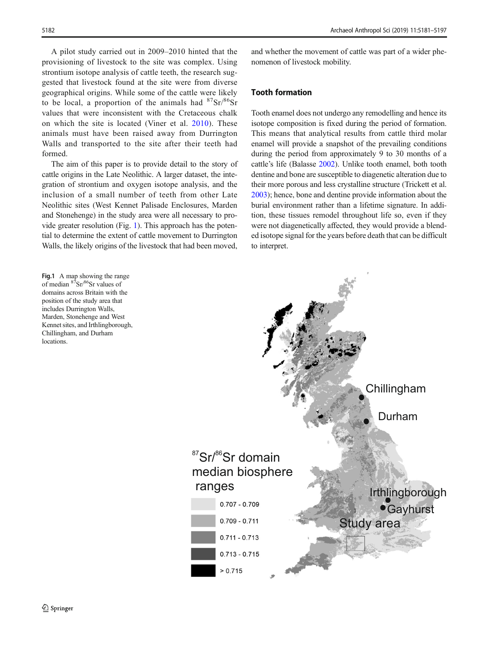<span id="page-1-0"></span>A pilot study carried out in 2009–2010 hinted that the provisioning of livestock to the site was complex. Using strontium isotope analysis of cattle teeth, the research suggested that livestock found at the site were from diverse geographical origins. While some of the cattle were likely to be local, a proportion of the animals had  $87\text{Sr}/86\text{Sr}$ values that were inconsistent with the Cretaceous chalk on which the site is located (Viner et al. [2010](#page-16-0)). These animals must have been raised away from Durrington Walls and transported to the site after their teeth had formed.

The aim of this paper is to provide detail to the story of cattle origins in the Late Neolithic. A larger dataset, the integration of strontium and oxygen isotope analysis, and the inclusion of a small number of teeth from other Late Neolithic sites (West Kennet Palisade Enclosures, Marden and Stonehenge) in the study area were all necessary to provide greater resolution (Fig. 1). This approach has the potential to determine the extent of cattle movement to Durrington Walls, the likely origins of the livestock that had been moved,

Fig.1 A map showing the range of median  $8^{7}$ Sr/ $8^{6}$ Sr values of domains across Britain with the position of the study area that includes Durrington Walls, Marden, Stonehenge and West Kennet sites, and Irthlingborough, Chillingham, and Durham locations.

and whether the movement of cattle was part of a wider phenomenon of livestock mobility.

## Tooth formation

Tooth enamel does not undergo any remodelling and hence its isotope composition is fixed during the period of formation. This means that analytical results from cattle third molar enamel will provide a snapshot of the prevailing conditions during the period from approximately 9 to 30 months of a cattle's life (Balasse [2002](#page-14-0)). Unlike tooth enamel, both tooth dentine and bone are susceptible to diagenetic alteration due to their more porous and less crystalline structure (Trickett et al. [2003\)](#page-16-0); hence, bone and dentine provide information about the burial environment rather than a lifetime signature. In addition, these tissues remodel throughout life so, even if they were not diagenetically affected, they would provide a blended isotope signal for the years before death that can be difficult to interpret.

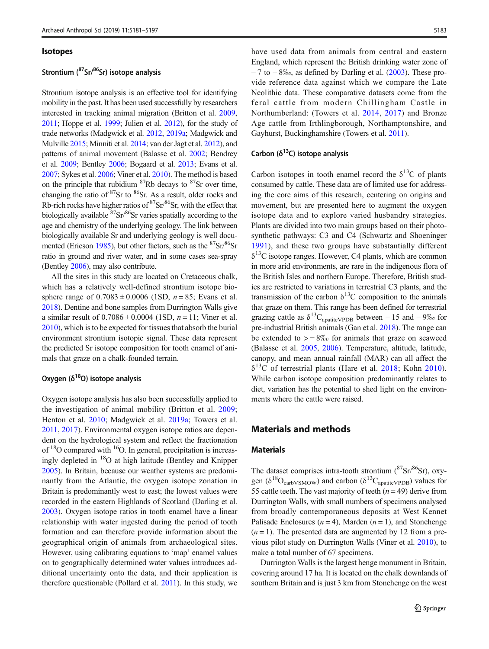#### **Isotopes**

# Strontium (<sup>87</sup>Sr/<sup>86</sup>Sr) isotope analysis

Strontium isotope analysis is an effective tool for identifying mobility in the past. It has been used successfully by researchers interested in tracking animal migration (Britton et al. [2009,](#page-15-0) [2011;](#page-15-0) Hoppe et al. [1999](#page-15-0); Julien et al. [2012](#page-15-0)), for the study of trade networks (Madgwick et al. [2012,](#page-15-0) [2019a](#page-15-0); Madgwick and Mulville [2015;](#page-15-0) Minniti et al. [2014;](#page-15-0) van der Jagt et al. [2012\)](#page-16-0), and patterns of animal movement (Balasse et al. [2002](#page-14-0); Bendrey et al. [2009](#page-15-0); Bentley [2006;](#page-15-0) Bogaard et al. [2013](#page-15-0); Evans et al. [2007](#page-15-0); Sykes et al. [2006](#page-15-0); Viner et al. [2010\)](#page-16-0). The method is based on the principle that rubidium  ${}^{87}Rb$  decays to  ${}^{87}Sr$  over time, changing the ratio of <sup>87</sup>Sr to <sup>86</sup>Sr. As a result, older rocks and Rb-rich rocks have higher ratios of  ${}^{87}Sr/{}^{86}Sr$ , with the effect that biologically available <sup>87</sup>Sr<sup>86</sup>Sr varies spatially according to the age and chemistry of the underlying geology. The link between biologically available Sr and underlying geology is well docu-mented (Ericson [1985](#page-15-0)), but other factors, such as the  $87\text{Sr}/86\text{Sr}$ ratio in ground and river water, and in some cases sea-spray (Bentley [2006](#page-15-0)), may also contribute.

All the sites in this study are located on Cretaceous chalk, which has a relatively well-defined strontium isotope biosphere range of  $0.7083 \pm 0.0006$  (1SD,  $n = 85$ ; Evans et al. [2018\)](#page-15-0). Dentine and bone samples from Durrington Walls give a similar result of  $0.7086 \pm 0.0004$  (1SD,  $n = 11$ ; Viner et al. [2010\)](#page-16-0), which is to be expected for tissues that absorb the burial environment strontium isotopic signal. These data represent the predicted Sr isotope composition for tooth enamel of animals that graze on a chalk-founded terrain.

# Oxygen  $(\delta^{18}O)$  isotope analysis

Oxygen isotope analysis has also been successfully applied to the investigation of animal mobility (Britton et al. [2009](#page-15-0); Henton et al. [2010](#page-15-0); Madgwick et al. [2019a](#page-15-0); Towers et al. [2011](#page-16-0), [2017\)](#page-16-0). Environmental oxygen isotope ratios are dependent on the hydrological system and reflect the fractionation of  $18$ O compared with  $16$ O. In general, precipitation is increasingly depleted in 18O at high latitude (Bentley and Knipper [2005\)](#page-15-0). In Britain, because our weather systems are predominantly from the Atlantic, the oxygen isotope zonation in Britain is predominantly west to east; the lowest values were recorded in the eastern Highlands of Scotland (Darling et al. [2003\)](#page-15-0). Oxygen isotope ratios in tooth enamel have a linear relationship with water ingested during the period of tooth formation and can therefore provide information about the geographical origin of animals from archaeological sites. However, using calibrating equations to 'map' enamel values on to geographically determined water values introduces additional uncertainty onto the data, and their application is therefore questionable (Pollard et al. [2011\)](#page-15-0). In this study, we

have used data from animals from central and eastern England, which represent the British drinking water zone of  $-7$  to  $-8\%$ , as defined by Darling et al. ([2003](#page-15-0)). These provide reference data against which we compare the Late Neolithic data. These comparative datasets come from the feral cattle from modern Chillingham Castle in Northumberland: (Towers et al. [2014](#page-16-0), [2017](#page-16-0)) and Bronze Age cattle from Irthlingborough, Northamptonshire, and Gayhurst, Buckinghamshire (Towers et al. [2011\)](#page-16-0).

## Carbon ( $\delta^{13}$ C) isotope analysis

Carbon isotopes in tooth enamel record the  $\delta^{13}$ C of plants consumed by cattle. These data are of limited use for addressing the core aims of this research, centering on origins and movement, but are presented here to augment the oxygen isotope data and to explore varied husbandry strategies. Plants are divided into two main groups based on their photosynthetic pathways: C3 and C4 (Schwartz and Shoeninger [1991\)](#page-15-0), and these two groups have substantially different  $\delta^{13}$ C isotope ranges. However, C4 plants, which are common in more arid environments, are rare in the indigenous flora of the British Isles and northern Europe. Therefore, British studies are restricted to variations in terrestrial C3 plants, and the transmission of the carbon  $\delta^{13}$ C composition to the animals that graze on them. This range has been defined for terrestrial grazing cattle as  $\delta^{13}C_{\text{apaitieVPDB}}$  between – 15 and – 9‰ for pre-industrial British animals (Gan et al. [2018](#page-15-0)). The range can be extended to  $> -8\%$  for animals that graze on seaweed (Balasse et al. [2005,](#page-14-0) [2006](#page-14-0)). Temperature, altitude, latitude, canopy, and mean annual rainfall (MAR) can all affect the  $\delta^{13}$ C of terrestrial plants (Hare et al. [2018;](#page-15-0) Kohn [2010](#page-15-0)). While carbon isotope composition predominantly relates to diet, variation has the potential to shed light on the environments where the cattle were raised.

# Materials and methods

#### **Materials**

The dataset comprises intra-tooth strontium  $({}^{87}\text{Sr}){}^{86}\text{Sr})$ , oxygen ( $\delta^{18}O_{\text{carbVSMOW}}$ ) and carbon ( $\delta^{13}C_{\text{apaitieVPDB}}$ ) values for 55 cattle teeth. The vast majority of teeth  $(n = 49)$  derive from Durrington Walls, with small numbers of specimens analysed from broadly contemporaneous deposits at West Kennet Palisade Enclosures ( $n = 4$ ), Marden ( $n = 1$ ), and Stonehenge  $(n = 1)$ . The presented data are augmented by 12 from a previous pilot study on Durrington Walls (Viner et al. [2010](#page-16-0)), to make a total number of 67 specimens.

Durrington Walls is the largest henge monument in Britain, covering around 17 ha. It is located on the chalk downlands of southern Britain and is just 3 km from Stonehenge on the west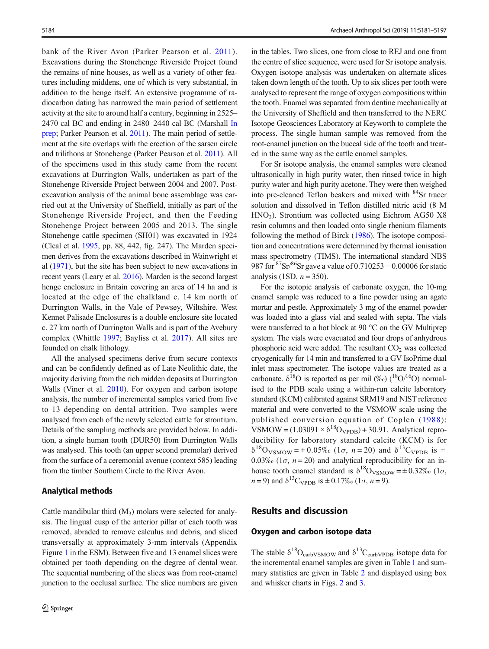bank of the River Avon (Parker Pearson et al. [2011](#page-15-0)). Excavations during the Stonehenge Riverside Project found the remains of nine houses, as well as a variety of other features including middens, one of which is very substantial, in addition to the henge itself. An extensive programme of radiocarbon dating has narrowed the main period of settlement activity at the site to around half a century, beginning in 2525– 2470 cal BC and ending in 2480–2440 cal BC (Marshall [In](#page-15-0) [prep](#page-15-0); Parker Pearson et al. [2011\)](#page-15-0). The main period of settlement at the site overlaps with the erection of the sarsen circle and trilithons at Stonehenge (Parker Pearson et al. [2011](#page-15-0)). All of the specimens used in this study came from the recent excavations at Durrington Walls, undertaken as part of the Stonehenge Riverside Project between 2004 and 2007. Postexcavation analysis of the animal bone assemblage was carried out at the University of Sheffield, initially as part of the Stonehenge Riverside Project, and then the Feeding Stonehenge Project between 2005 and 2013. The single Stonehenge cattle specimen (SH01) was excavated in 1924 (Cleal et al. [1995](#page-15-0), pp. 88, 442, fig. 247). The Marden specimen derives from the excavations described in Wainwright et al ([1971](#page-16-0)), but the site has been subject to new excavations in recent years (Leary et al. [2016](#page-15-0)). Marden is the second largest henge enclosure in Britain covering an area of 14 ha and is located at the edge of the chalkland c. 14 km north of Durrington Walls, in the Vale of Pewsey, Wiltshire. West Kennet Palisade Enclosures is a double enclosure site located c. 27 km north of Durrington Walls and is part of the Avebury complex (Whittle [1997;](#page-16-0) Bayliss et al. [2017\)](#page-14-0). All sites are founded on chalk lithology.

All the analysed specimens derive from secure contexts and can be confidently defined as of Late Neolithic date, the majority deriving from the rich midden deposits at Durrington Walls (Viner et al. [2010\)](#page-16-0). For oxygen and carbon isotope analysis, the number of incremental samples varied from five to 13 depending on dental attrition. Two samples were analysed from each of the newly selected cattle for strontium. Details of the sampling methods are provided below. In addition, a single human tooth (DUR50) from Durrington Walls was analysed. This tooth (an upper second premolar) derived from the surface of a ceremonial avenue (context 585) leading from the timber Southern Circle to the River Avon.

#### Analytical methods

Cattle mandibular third  $(M_3)$  molars were selected for analysis. The lingual cusp of the anterior pillar of each tooth was removed, abraded to remove calculus and debris, and sliced transversally at approximately 3-mm intervals (Appendix Figure 1 in the ESM). Between five and 13 enamel slices were obtained per tooth depending on the degree of dental wear. The sequential numbering of the slices was from root-enamel junction to the occlusal surface. The slice numbers are given in the tables. Two slices, one from close to REJ and one from the centre of slice sequence, were used for Sr isotope analysis. Oxygen isotope analysis was undertaken on alternate slices taken down length of the tooth. Up to six slices per tooth were analysed to represent the range of oxygen compositions within the tooth. Enamel was separated from dentine mechanically at the University of Sheffield and then transferred to the NERC Isotope Geosciences Laboratory at Keyworth to complete the process. The single human sample was removed from the root-enamel junction on the buccal side of the tooth and treated in the same way as the cattle enamel samples.

For Sr isotope analysis, the enamel samples were cleaned ultrasonically in high purity water, then rinsed twice in high purity water and high purity acetone. They were then weighed into pre-cleaned Teflon beakers and mixed with <sup>84</sup>Sr tracer solution and dissolved in Teflon distilled nitric acid (8 M  $HNO<sub>3</sub>$ ). Strontium was collected using Eichrom AG50 X8 resin columns and then loaded onto single rhenium filaments following the method of Birck [\(1986](#page-15-0)). The isotope composition and concentrations were determined by thermal ionisation mass spectrometry (TIMS). The international standard NBS 987 for  ${}^{87}Sr/{}^{86}Sr$  gave a value of 0.710253  $\pm$  0.00006 for static analysis (1SD,  $n = 350$ ).

For the isotopic analysis of carbonate oxygen, the 10-mg enamel sample was reduced to a fine powder using an agate mortar and pestle. Approximately 3 mg of the enamel powder was loaded into a glass vial and sealed with septa. The vials were transferred to a hot block at 90 °C on the GV Multiprep system. The vials were evacuated and four drops of anhydrous phosphoric acid were added. The resultant  $CO<sub>2</sub>$  was collected cryogenically for 14 min and transferred to a GV IsoPrime dual inlet mass spectrometer. The isotope values are treated as a carbonate.  $\delta^{18}O$  is reported as per mil  $(\%_0)$  ( $^{18}O^{16}O$ ) normalised to the PDB scale using a within-run calcite laboratory standard (KCM) calibrated against SRM19 and NIST reference material and were converted to the VSMOW scale using the published conversion equation of Coplen ([1988\)](#page-15-0): VSMOW =  $(1.03091 \times \delta^{18} \text{O}_{\text{VPDB}})$  + 30.91. Analytical reproducibility for laboratory standard calcite (KCM) is for  $\delta^{18}$ O<sub>VSMOW</sub> = ± 0.05‰ (1 $\sigma$ , n = 20) and  $\delta^{13}$ C<sub>VPDB</sub> is ± 0.03‰ (1 $\sigma$ ,  $n = 20$ ) and analytical reproducibility for an inhouse tooth enamel standard is  $\delta^{18}O_{VSMOW} = \pm 0.32\%$  (1 $\sigma$ ,  $n = 9$ ) and  $\delta^{13}C_{\text{VPDB}}$  is  $\pm 0.17\%$  (1 $\sigma$ ,  $n = 9$ ).

# Results and discussion

## Oxygen and carbon isotope data

The stable  $\delta^{18}O_{\text{carbVSMOW}}$  and  $\delta^{13}C_{\text{carbVPDB}}$  isotope data for the incremental enamel samples are given in Table [1](#page-4-0) and summary statistics are given in Table [2](#page-7-0) and displayed using box and whisker charts in Figs. [2](#page-9-0) and [3.](#page-9-0)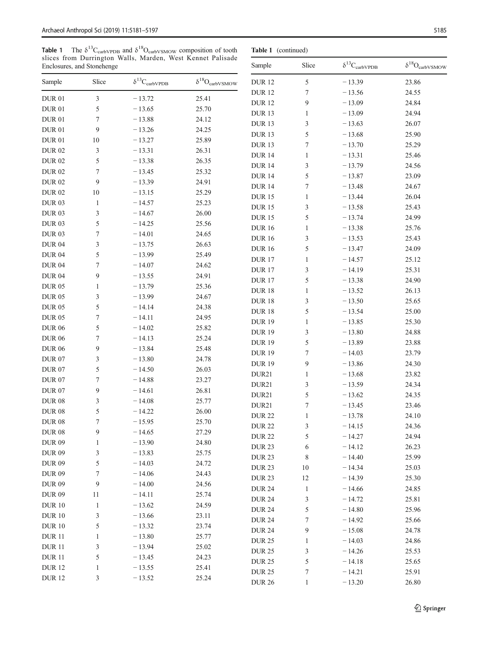**Table 1** The  $\delta^{13}C_{\text{carbVPDB}}$  and  $\delta^{18}O_{\text{carbVSMOW}}$  compos slices from Durrington Walls, Marden, West Ken Enclosures, and Stonehenge

DUR 12 3 − 13.52 25.24

<span id="page-4-0"></span>

| Table 1          |                            | The $\delta^{13}C_{\rm carbVPDB}$ and $\delta^{18}O_{\rm carbVSMOW}$ composition of tooth |                                | Table 1 (continued) |                  |                               |                                |  |  |  |
|------------------|----------------------------|-------------------------------------------------------------------------------------------|--------------------------------|---------------------|------------------|-------------------------------|--------------------------------|--|--|--|
|                  | Enclosures, and Stonehenge | slices from Durrington Walls, Marden, West Kennet Palisade                                |                                | Sample              | Slice            | $\delta^{13}C_{\rm carbVPDB}$ | $\delta^{18}O_{\rm carbVSMOW}$ |  |  |  |
| Sample           | Slice                      | $\delta^{13}{\rm C}_{\rm carbVPDB}$                                                       | $\delta^{18}O_{\rm carbVSMOW}$ | <b>DUR12</b>        | 5                | $-13.39$                      | 23.86                          |  |  |  |
| <b>DUR 01</b>    | 3                          | $-13.72$                                                                                  | 25.41                          | <b>DUR12</b>        | $\boldsymbol{7}$ | $-13.56$                      | 24.55                          |  |  |  |
| <b>DUR 01</b>    | 5                          |                                                                                           | 25.70                          | <b>DUR12</b>        | 9                | $-13.09$                      | 24.84                          |  |  |  |
|                  |                            | $-13.65$                                                                                  |                                | <b>DUR13</b>        | 1                | $-13.09$                      | 24.94                          |  |  |  |
| <b>DUR 01</b>    | 7                          | $-13.88$                                                                                  | 24.12                          | <b>DUR13</b>        | 3                | $-13.63$                      | 26.07                          |  |  |  |
| <b>DUR 01</b>    | 9                          | $-13.26$                                                                                  | 24.25                          | <b>DUR13</b>        | 5                | $-13.68$                      | 25.90                          |  |  |  |
| <b>DUR 01</b>    | 10                         | $-13.27$                                                                                  | 25.89                          | <b>DUR13</b>        | 7                | $-13.70$                      | 25.29                          |  |  |  |
| <b>DUR02</b>     | 3                          | $-13.31$                                                                                  | 26.31                          | <b>DUR14</b>        | 1                | $-13.31$                      | 25.46                          |  |  |  |
| $\text{DUR}\ 02$ | 5                          | $-13.38$                                                                                  | 26.35                          | <b>DUR14</b>        | 3                | $-13.79$                      | 24.56                          |  |  |  |
| <b>DUR02</b>     | 7                          | $-13.45$                                                                                  | 25.32                          | <b>DUR14</b>        | 5                | $-13.87$                      | 23.09                          |  |  |  |
| <b>DUR02</b>     | 9                          | $-13.39$                                                                                  | 24.91                          | <b>DUR14</b>        | 7                | $-13.48$                      | 24.67                          |  |  |  |
| $\text{DUR}\ 02$ | 10                         | $-13.15$                                                                                  | 25.29                          | <b>DUR15</b>        | 1                | $-13.44$                      | 26.04                          |  |  |  |
| <b>DUR 03</b>    | $\mathbf{1}$               | $-14.57$                                                                                  | 25.23                          | <b>DUR15</b>        | 3                | $-13.58$                      | 25.43                          |  |  |  |
| <b>DUR03</b>     | 3                          | $-14.67$                                                                                  | 26.00                          | <b>DUR15</b>        | 5                | $-13.74$                      | 24.99                          |  |  |  |
| <b>DUR03</b>     | 5                          | $-14.25$                                                                                  | 25.56                          | <b>DUR16</b>        | 1                | $-13.38$                      | 25.76                          |  |  |  |
| $\text{DUR}\ 03$ | 7                          | $-14.01$                                                                                  | 24.65                          | <b>DUR16</b>        | 3                | $-13.53$                      | 25.43                          |  |  |  |
| <b>DUR 04</b>    | 3                          | $-13.75$                                                                                  | 26.63                          | <b>DUR16</b>        | 5                | $-13.47$                      | 24.09                          |  |  |  |
| <b>DUR 04</b>    | 5                          | $-13.99$                                                                                  | 25.49                          | <b>DUR17</b>        | $\mathbf{1}$     | $-14.57$                      | 25.12                          |  |  |  |
| <b>DUR 04</b>    | $\boldsymbol{7}$           | $-14.07$                                                                                  | 24.62                          | <b>DUR17</b>        | 3                | $-14.19$                      | 25.31                          |  |  |  |
| <b>DUR 04</b>    | 9                          | $-13.55$                                                                                  | 24.91                          | <b>DUR17</b>        | 5                | $-13.38$                      | 24.90                          |  |  |  |
| $\text{DUR}\ 05$ | $\mathbf{1}$               | $-13.79$                                                                                  | 25.36                          | <b>DUR18</b>        | $\mathbf{1}$     | $-13.52$                      | 26.13                          |  |  |  |
| $\text{DUR}\ 05$ | 3                          | $-13.99$                                                                                  | 24.67                          | <b>DUR18</b>        | 3                | $-13.50$                      | 25.65                          |  |  |  |
| <b>DUR 05</b>    | 5                          | $-14.14$                                                                                  | 24.38                          | <b>DUR18</b>        | 5                | $-13.54$                      | 25.00                          |  |  |  |
| <b>DUR 05</b>    | 7                          | $-14.11$                                                                                  | 24.95                          | <b>DUR19</b>        | $\mathbf{1}$     | $-13.85$                      | 25.30                          |  |  |  |
| $\text{DUR}\ 06$ | 5                          | $-14.02$                                                                                  | 25.82                          | <b>DUR19</b>        | 3                | $-13.80$                      | 24.88                          |  |  |  |
| $\text{DUR}\ 06$ | 7                          | $-14.13$                                                                                  | 25.24                          | <b>DUR19</b>        | 5                | $-13.89$                      | 23.88                          |  |  |  |
| <b>DUR 06</b>    | 9                          | $-13.84$                                                                                  | 25.48                          | <b>DUR19</b>        | 7                | $-14.03$                      | 23.79                          |  |  |  |
| <b>DUR 07</b>    | 3                          | $-13.80$                                                                                  | 24.78                          | <b>DUR19</b>        | 9                | $-13.86$                      | 24.30                          |  |  |  |
| $\text{DUR}\ 07$ | 5                          | $-14.50$                                                                                  | 26.03                          | DUR21               | $\mathbf{1}$     |                               |                                |  |  |  |
| $\text{DUR}\ 07$ | 7                          | $-14.88$                                                                                  | 23.27                          |                     |                  | $-13.68$                      | 23.82                          |  |  |  |
| $\text{DUR}\ 07$ | 9                          | $-14.61$                                                                                  | 26.81                          | DUR21               | 3                | $-13.59$                      | 24.34                          |  |  |  |
| <b>DUR 08</b>    | 3                          | $-14.08$                                                                                  | 25.77                          | DUR21               | 5                | $-13.62$                      | 24.35                          |  |  |  |
| <b>DUR08</b>     | 5                          | $-14.22$                                                                                  | 26.00                          | DUR21               | 7                | $-13.45$                      | 23.46                          |  |  |  |
| <b>DUR 08</b>    | $\tau$                     | $-15.95$                                                                                  | 25.70                          | <b>DUR 22</b>       | $\mathbf{1}$     | $-13.78$                      | 24.10                          |  |  |  |
| $\rm DUR$ 08     | 9                          | $-14.65$                                                                                  | 27.29                          | <b>DUR 22</b>       | 3                | $-14.15$                      | 24.36                          |  |  |  |
| <b>DUR 09</b>    | $\mathbf{1}$               | $-13.90$                                                                                  | 24.80                          | <b>DUR 22</b>       | 5                | $-14.27$                      | 24.94                          |  |  |  |
| <b>DUR 09</b>    | 3                          | $-13.83$                                                                                  | 25.75                          | <b>DUR 23</b>       | 6                | $-14.12$                      | 26.23                          |  |  |  |
| <b>DUR 09</b>    | 5                          | $-14.03$                                                                                  | 24.72                          | <b>DUR 23</b>       | $\,8\,$          | $-14.40$                      | 25.99                          |  |  |  |
| <b>DUR 09</b>    | $\boldsymbol{7}$           | $-14.06$                                                                                  | 24.43                          | <b>DUR 23</b>       | $10\,$           | $-14.34$                      | 25.03                          |  |  |  |
| <b>DUR 09</b>    | 9                          | $-14.00$                                                                                  | 24.56                          | <b>DUR 23</b>       | $12\,$           | $-14.39$                      | 25.30                          |  |  |  |
| <b>DUR 09</b>    | 11                         | $-14.11$                                                                                  | 25.74                          | <b>DUR 24</b>       | $\mathbf{1}$     | $-14.66$                      | 24.85                          |  |  |  |
| $\text{DUR}\ 10$ | $\,1$                      | $-13.62$                                                                                  | 24.59                          | <b>DUR 24</b>       | 3                | $-14.72$                      | 25.81                          |  |  |  |
| $\text{DUR}\ 10$ | $\mathfrak{Z}$             | $-13.66$                                                                                  | 23.11                          | <b>DUR 24</b>       | 5                | $-14.80$                      | 25.96                          |  |  |  |
| $\text{DUR}\ 10$ | 5                          | $-13.32$                                                                                  | 23.74                          | <b>DUR 24</b>       | 7                | $-14.92$                      | 25.66                          |  |  |  |
| <b>DUR11</b>     | $\,1$                      | $-13.80$                                                                                  | 25.77                          | <b>DUR 24</b>       | 9                | $-15.08$                      | 24.78                          |  |  |  |
| <b>DUR11</b>     | 3                          | $-13.94$                                                                                  | 25.02                          | <b>DUR 25</b>       | $\mathbf{1}$     | $-14.03$                      | 24.86                          |  |  |  |
| <b>DUR11</b>     | 5                          | $-13.45$                                                                                  | 24.23                          | <b>DUR 25</b>       | 3                | $-14.26$                      | 25.53                          |  |  |  |
| <b>DUR12</b>     | 1                          | $-13.55$                                                                                  | 25.41                          | <b>DUR 25</b>       | 5                | $-14.18$                      | 25.65                          |  |  |  |
|                  |                            |                                                                                           |                                |                     |                  |                               |                                |  |  |  |

DUR 25 7 − 14.21 25.91 DUR 26 1 − 13.20 26.80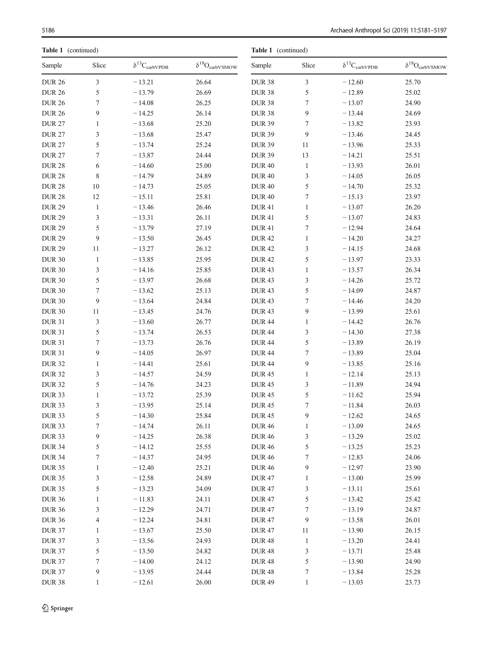Table 1 (continued)

| Table 1 (continued) |                          |                                             |                                | Table 1 (continued) |                  |                                             |                                |  |  |
|---------------------|--------------------------|---------------------------------------------|--------------------------------|---------------------|------------------|---------------------------------------------|--------------------------------|--|--|
| Sample              | Slice                    | $\delta^{13}\mathrm{C}_{\mathrm{carbVPDB}}$ | $\delta^{18}O_{\rm carbVSMOW}$ | Sample              | Slice            | $\delta^{13}\mathrm{C}_{\mathrm{carbVPDB}}$ | $\delta^{18}O_{\rm carbVSMOW}$ |  |  |
| <b>DUR 26</b>       | $\mathfrak{Z}$           | $-13.21$                                    | 26.64                          | <b>DUR 38</b>       | 3                | $-12.60$                                    | 25.70                          |  |  |
| <b>DUR 26</b>       | 5                        | $-13.79$                                    | 26.69                          | <b>DUR 38</b>       | 5                | $-12.89$                                    | 25.02                          |  |  |
| <b>DUR 26</b>       | $\boldsymbol{7}$         | $-14.08$                                    | 26.25                          | <b>DUR 38</b>       | 7                | $-13.07$                                    | 24.90                          |  |  |
| <b>DUR 26</b>       | 9                        | $-14.25$                                    | 26.14                          | <b>DUR 38</b>       | 9                | $-13.44$                                    | 24.69                          |  |  |
| <b>DUR 27</b>       | $\mathbf{1}$             | $-13.68$                                    | 25.20                          | <b>DUR 39</b>       | 7                | $-13.82$                                    | 23.93                          |  |  |
| <b>DUR 27</b>       | $\mathfrak{Z}$           | $-13.68$                                    | 25.47                          | <b>DUR 39</b>       | 9                | $-13.46$                                    | 24.45                          |  |  |
| <b>DUR 27</b>       | 5                        | $-13.74$                                    | 25.24                          | <b>DUR 39</b>       | 11               | $-13.96$                                    | 25.33                          |  |  |
| <b>DUR 27</b>       | $\tau$                   | $-13.87$                                    | 24.44                          | <b>DUR 39</b>       | 13               | $-14.21$                                    | 25.51                          |  |  |
| <b>DUR 28</b>       | 6                        | $-14.60$                                    | 25.00                          | <b>DUR 40</b>       | $\mathbf{1}$     | $-13.93$                                    | 26.01                          |  |  |
| <b>DUR 28</b>       | $\,$ 8 $\,$              | $-14.79$                                    | 24.89                          | <b>DUR40</b>        | 3                | $-14.05$                                    | 26.05                          |  |  |
| <b>DUR 28</b>       | 10                       | $-14.73$                                    | 25.05                          | <b>DUR 40</b>       | 5                | $-14.70$                                    | 25.32                          |  |  |
| <b>DUR 28</b>       | 12                       | $-15.11$                                    | 25.81                          | <b>DUR 40</b>       | 7                | $-15.13$                                    | 23.97                          |  |  |
| <b>DUR 29</b>       | $\mathbf{1}$             | $-13.46$                                    | 26.46                          | <b>DUR41</b>        | $\mathbf{1}$     | $-13.07$                                    | 26.20                          |  |  |
| <b>DUR 29</b>       | $\mathfrak{Z}$           | $-13.31$                                    | 26.11                          | <b>DUR41</b>        | 5                | $-13.07$                                    | 24.83                          |  |  |
| <b>DUR 29</b>       | 5                        | $-13.79$                                    | 27.19                          | <b>DUR41</b>        | 7                | $-12.94$                                    | 24.64                          |  |  |
| <b>DUR 29</b>       | 9                        | $-13.50$                                    | 26.45                          | <b>DUR42</b>        | $\mathbf{1}$     | $-14.20$                                    | 24.27                          |  |  |
| <b>DUR 29</b>       | 11                       | $-13.27$                                    | 26.12                          | <b>DUR42</b>        | 3                | $-14.15$                                    | 24.68                          |  |  |
| <b>DUR 30</b>       | $\mathbf{1}$             | $-13.85$                                    | 25.95                          | <b>DUR42</b>        | 5                | $-13.97$                                    | 23.33                          |  |  |
| <b>DUR 30</b>       | $\mathfrak{Z}$           | $-14.16$                                    | 25.85                          | <b>DUR43</b>        | $\mathbf{1}$     | $-13.57$                                    | 26.34                          |  |  |
| <b>DUR 30</b>       | 5                        | $-13.97$                                    | 26.68                          | <b>DUR 43</b>       | 3                | $-14.26$                                    | 25.72                          |  |  |
| <b>DUR 30</b>       | $\boldsymbol{7}$         | $-13.62$                                    | 25.13                          | <b>DUR 43</b>       | 5                | $-14.09$                                    | 24.87                          |  |  |
| <b>DUR 30</b>       | 9                        | $-13.64$                                    | 24.84                          | <b>DUR 43</b>       | 7                | $-14.46$                                    | 24.20                          |  |  |
| <b>DUR 30</b>       | 11                       | $-13.45$                                    | 24.76                          | <b>DUR43</b>        | 9                | $-13.99$                                    | 25.61                          |  |  |
| <b>DUR 31</b>       | 3                        | $-13.60$                                    | 26.77                          | <b>DUR 44</b>       | $\mathbf{1}$     | $-14.42$                                    | 26.76                          |  |  |
| <b>DUR 31</b>       | 5                        | $-13.74$                                    | 26.53                          | <b>DUR 44</b>       | 3                | $-14.30$                                    | 27.38                          |  |  |
| <b>DUR 31</b>       | 7                        | $-13.73$                                    | 26.76                          | <b>DUR 44</b>       | 5                | $-13.89$                                    | 26.19                          |  |  |
| <b>DUR 31</b>       | 9                        | $-14.05$                                    | 26.97                          | <b>DUR 44</b>       | $\boldsymbol{7}$ | $-13.89$                                    | 25.04                          |  |  |
| <b>DUR 32</b>       | $\mathbf{1}$             | $-14.41$                                    | 25.61                          | <b>DUR 44</b>       | 9                | $-13.85$                                    | 25.16                          |  |  |
| <b>DUR 32</b>       | 3                        | $-14.57$                                    | 24.59                          | <b>DUR45</b>        | $\mathbf{1}$     | $-12.14$                                    | 25.13                          |  |  |
| <b>DUR 32</b>       | 5                        | $-14.76$                                    | 24.23                          | <b>DUR 45</b>       | 3                | $-11.89$                                    | 24.94                          |  |  |
| <b>DUR 33</b>       | $\mathbf{1}$             | $-13.72$                                    | 25.39                          | <b>DUR 45</b>       | 5                | $-11.62$                                    | 25.94                          |  |  |
| <b>DUR 33</b>       | 3                        | $-13.95$                                    | 25.14                          | <b>DUR 45</b>       | 7                | $-11.84$                                    | 26.03                          |  |  |
| <b>DUR 33</b>       | 5                        | $-14.30$                                    | 25.84                          | <b>DUR 45</b>       | 9                | $-12.62$                                    | 24.65                          |  |  |
| <b>DUR 33</b>       | $\boldsymbol{7}$         | $-14.74$                                    | 26.11                          | <b>DUR 46</b>       | $\mathbf{1}$     | $-13.09$                                    | 24.65                          |  |  |
| <b>DUR 33</b>       | $\boldsymbol{9}$         | $-14.25$                                    | 26.38                          | <b>DUR 46</b>       | 3                | $-13.29$                                    | 25.02                          |  |  |
| <b>DUR 34</b>       | 5                        | $-14.12$                                    | 25.55                          | <b>DUR46</b>        | 5                | $-13.25$                                    | 25.23                          |  |  |
| <b>DUR 34</b>       | 7                        | $-14.37$                                    | 24.95                          | <b>DUR 46</b>       | 7                | $-12.83$                                    | 24.06                          |  |  |
| <b>DUR 35</b>       | $\mathbf{1}$             | $-12.40$                                    | 25.21                          | <b>DUR 46</b>       | 9                | $-12.97$                                    | 23.90                          |  |  |
| <b>DUR 35</b>       | 3                        | $-12.58$                                    | 24.89                          | <b>DUR 47</b>       | $\mathbf{1}$     | $-13.00$                                    | 25.99                          |  |  |
| <b>DUR 35</b>       | 5                        | $-13.23$                                    | 24.09                          | <b>DUR47</b>        | 3                | $-13.11$                                    | 25.61                          |  |  |
| <b>DUR 36</b>       | $\mathbf{1}$             | $-11.83$                                    | 24.11                          | <b>DUR 47</b>       | 5                | $-13.42$                                    | 25.42                          |  |  |
| <b>DUR 36</b>       | 3                        | $-12.29$                                    | 24.71                          | <b>DUR47</b>        | 7                | $-13.19$                                    | 24.87                          |  |  |
| <b>DUR 36</b>       | $\overline{\mathcal{A}}$ | $-12.24$                                    | 24.81                          | <b>DUR47</b>        | 9                | $-13.58$                                    | 26.01                          |  |  |
| <b>DUR 37</b>       | $\mathbf{1}$             | $-13.67$                                    | 25.50                          | <b>DUR47</b>        | 11               | $-13.90$                                    | 26.15                          |  |  |
| <b>DUR 37</b>       | $\sqrt{3}$               | $-13.56$                                    | 24.93                          | <b>DUR48</b>        | $\mathbf{1}$     | $-13.20$                                    | 24.41                          |  |  |
| <b>DUR 37</b>       | $\mathfrak s$            | $-13.50$                                    | 24.82                          | <b>DUR48</b>        | 3                | $-13.71$                                    | 25.48                          |  |  |
| <b>DUR 37</b>       | 7                        | $-14.00$                                    | 24.12                          | <b>DUR48</b>        | 5                | $-13.90$                                    | 24.90                          |  |  |
| <b>DUR 37</b>       | $\overline{9}$           | $-13.95$                                    | 24.44                          | <b>DUR48</b>        | 7                | $-13.84$                                    | 25.28                          |  |  |
| <b>DUR 38</b>       | $\mathbf{1}$             | $-12.61$                                    | 26.00                          | <b>DUR 49</b>       | $\mathbf{1}$     | $-13.03$                                    | 23.73                          |  |  |
|                     |                          |                                             |                                |                     |                  |                                             |                                |  |  |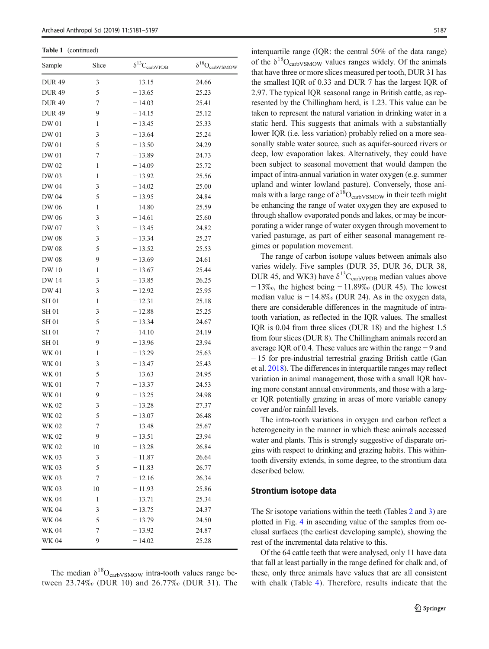Table 1 (continued)

| Sample        | Slice | $\delta^{13}C_{\rm carbVPDB}$ | $\delta^{18}O_{\rm carbVSMOW}$ |
|---------------|-------|-------------------------------|--------------------------------|
| <b>DUR 49</b> | 3     | $-13.15$                      | 24.66                          |
| <b>DUR49</b>  | 5     | $-13.65$                      | 25.23                          |
| <b>DUR 49</b> | 7     | $-14.03$                      | 25.41                          |
| <b>DUR 49</b> | 9     | $-14.15$                      | 25.12                          |
| DW 01         | 1     | $-13.45$                      | 25.33                          |
| DW 01         | 3     | $-13.64$                      | 25.24                          |
| DW 01         | 5     | $-13.50$                      | 24.29                          |
| DW 01         | 7     | $-13.89$                      | 24.73                          |
| DW 02         | 1     | $-14.09$                      | 25.72                          |
| DW 03         | 1     | $-13.92$                      | 25.56                          |
| DW 04         | 3     | $-14.02$                      | 25.00                          |
| DW 04         | 5     | $-13.95$                      | 24.84                          |
| DW 06         | 1     | $-14.80$                      | 25.59                          |
| DW 06         | 3     | $-14.61$                      | 25.60                          |
| DW 07         | 3     | $-13.45$                      | 24.82                          |
| DW 08         | 3     | $-13.34$                      | 25.27                          |
| DW 08         | 5     | $-13.52$                      | 25.53                          |
| DW 08         | 9     | $-13.69$                      | 24.61                          |
| DW 10         | 1     | $-13.67$                      | 25.44                          |
| DW 14         | 3     | $-13.85$                      | 26.25                          |
| DW 41         | 3     | $-12.92$                      | 25.95                          |
| <b>SH01</b>   | 1     | $-12.31$                      | 25.18                          |
| SH 01         | 3     | $-12.88$                      | 25.25                          |
| <b>SH01</b>   | 5     | $-13.34$                      | 24.67                          |
| <b>SH01</b>   | 7     | $-14.10$                      | 24.19                          |
| <b>SH01</b>   | 9     | $-13.96$                      | 23.94                          |
| <b>WK 01</b>  | 1     | $-13.29$                      | 25.63                          |
| <b>WK 01</b>  | 3     | $-13.47$                      | 25.43                          |
| <b>WK 01</b>  | 5     | $-13.63$                      | 24.95                          |
| WK 01         | 7     | $-13.37$                      | 24.53                          |
| WK 01         | 9     | $-13.25$                      | 24.98                          |
| WK 02         | 3     | $-13.28$                      | 27.37                          |
| WK 02         | 5     | $-13.07$                      | 26.48                          |
| WK 02         | 7     | $-13.48$                      | 25.67                          |
| <b>WK 02</b>  | 9     | $-13.51$                      | 23.94                          |
| <b>WK 02</b>  | 10    | $-13.28$                      | 26.84                          |
| WK 03         | 3     | $-11.87$                      | 26.64                          |
| WK 03         | 5     | $-11.83$                      | 26.77                          |
| <b>WK 03</b>  | 7     | $-12.16$                      | 26.34                          |
| <b>WK 03</b>  | 10    | $-11.93$                      | 25.86                          |
| WK 04         | 1     | $-13.71$                      | 25.34                          |
| <b>WK 04</b>  | 3     | $-13.75$                      | 24.37                          |
| WK 04         | 5     | $-13.79$                      | 24.50                          |
| WK 04         | 7     | $-13.92$                      | 24.87                          |
| <b>WK 04</b>  | 9     | $-14.02$                      | 25.28                          |

The median  $\delta^{18}O_{\text{carbVSMOW}}$  intra-tooth values range between 23.74‰ (DUR 10) and 26.77‰ (DUR 31). The

interquartile range (IOR: the central 50% of the data range) of the  $\delta^{18}O_{\text{carbVSMOW}}$  values ranges widely. Of the animals that have three or more slices measured per tooth, DUR 31 has the smallest IQR of 0.33 and DUR 7 has the largest IQR of 2.97. The typical IQR seasonal range in British cattle, as represented by the Chillingham herd, is 1.23. This value can be taken to represent the natural variation in drinking water in a static herd. This suggests that animals with a substantially lower IQR (i.e. less variation) probably relied on a more seasonally stable water source, such as aquifer-sourced rivers or deep, low evaporation lakes. Alternatively, they could have been subject to seasonal movement that would dampen the impact of intra-annual variation in water oxygen (e.g. summer upland and winter lowland pasture). Conversely, those animals with a large range of  $\delta^{18}O_{\text{carbVSMOW}}$  in their teeth might be enhancing the range of water oxygen they are exposed to through shallow evaporated ponds and lakes, or may be incorporating a wider range of water oxygen through movement to varied pasturage, as part of either seasonal management regimes or population movement.

The range of carbon isotope values between animals also varies widely. Five samples (DUR 35, DUR 36, DUR 38, DUR 45, and WK3) have  $\delta^{13}C_{\text{carbVPDB}}$  median values above  $-13\%$ <sub>o</sub>, the highest being  $-11.89\%$  (DUR 45). The lowest median value is − 14.8‰ (DUR 24). As in the oxygen data, there are considerable differences in the magnitude of intratooth variation, as reflected in the IQR values. The smallest IQR is 0.04 from three slices (DUR 18) and the highest 1.5 from four slices (DUR 8). The Chillingham animals record an average IQR of 0.4. These values are within the range − 9 and − 15 for pre-industrial terrestrial grazing British cattle (Gan et al. [2018\)](#page-15-0). The differences in interquartile ranges may reflect variation in animal management, those with a small IQR having more constant annual environments, and those with a larger IQR potentially grazing in areas of more variable canopy cover and/or rainfall levels.

The intra-tooth variations in oxygen and carbon reflect a heterogeneity in the manner in which these animals accessed water and plants. This is strongly suggestive of disparate origins with respect to drinking and grazing habits. This withintooth diversity extends, in some degree, to the strontium data described below.

## Strontium isotope data

The Sr isotope variations within the teeth (Tables [2](#page-7-0) and [3\)](#page-10-0) are plotted in Fig. [4](#page-11-0) in ascending value of the samples from occlusal surfaces (the earliest developing sample), showing the rest of the incremental data relative to this.

Of the 64 cattle teeth that were analysed, only 11 have data that fall at least partially in the range defined for chalk and, of these, only three animals have values that are all consistent with chalk (Table [4](#page-12-0)). Therefore, results indicate that the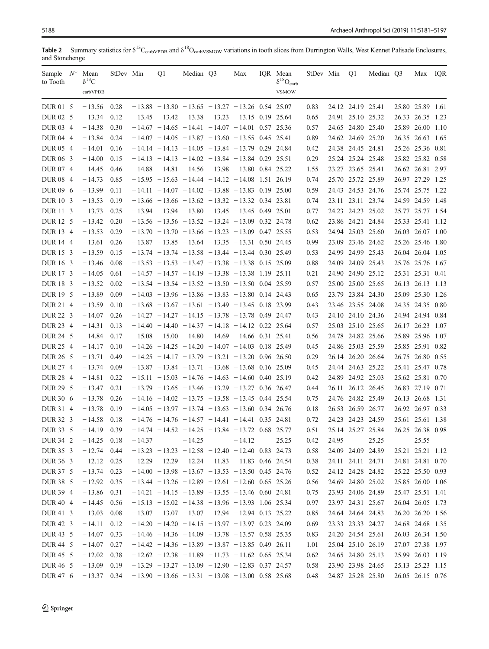<span id="page-7-0"></span>Table 2 Summary statistics for  $\delta^{13}C_{\text{carbVPDB}}$  and  $\delta^{18}O_{\text{carbVSMOW}}$  variations in tooth slices from Durrington Walls, West Kennet Palisade Enclosures, and Stonehenge

| Sample $N^*$ Mean<br>to Tooth | $\delta^{13}C$<br>carbVPDB | StDev Min |          | Q1 | Median Q3                                               | Max      | IQR Mean<br>$\delta^{18}O_{\rm carb}$<br><b>VSMOW</b> | StDev Min |       | Q1                | Median Q3 | Max IQR          |  |
|-------------------------------|----------------------------|-----------|----------|----|---------------------------------------------------------|----------|-------------------------------------------------------|-----------|-------|-------------------|-----------|------------------|--|
| DUR 01 5                      | $-13.56$                   | 0.28      |          |    | $-13.88$ $-13.80$ $-13.65$ $-13.27$ $-13.26$ 0.54 25.07 |          |                                                       | 0.83      |       | 24.12 24.19 25.41 |           | 25.80 25.89 1.61 |  |
| DUR 02 5                      | $-13.34$                   | 0.12      |          |    | $-13.45 - 13.42 - 13.38 - 13.23 - 13.15$ 0.19 25.64     |          |                                                       | 0.65      |       | 24.91 25.10 25.32 |           | 26.33 26.35 1.23 |  |
| DUR 03 4                      | $-14.38$                   | 0.30      |          |    | $-14.67 - 14.65 - 14.41 - 14.07 - 14.01$ 0.57 25.36     |          |                                                       | 0.57      |       | 24.65 24.80 25.40 |           | 25.89 26.00 1.10 |  |
| DUR 04 4                      | $-13.84$                   | 0.24      |          |    | $-14.07 - 14.05 - 13.87 - 13.60 - 13.55$ 0.45 25.41     |          |                                                       | 0.89      |       | 24.62 24.69 25.20 |           | 26.35 26.63 1.65 |  |
| DUR 05 4                      | $-14.01$                   | 0.16      |          |    | $-14.14 - 14.13 - 14.05 - 13.84 - 13.79$ 0.29 24.84     |          |                                                       | 0.42      |       | 24.38 24.45 24.81 |           | 25.26 25.36 0.81 |  |
| DUR 06 3                      | $-14.00$                   | 0.15      |          |    | $-14.13 - 14.13 - 14.02 - 13.84 - 13.84 0.29 25.51$     |          |                                                       | 0.29      |       | 25.24 25.24 25.48 |           | 25.82 25.82 0.58 |  |
| DUR 07 4                      | $-14.45$                   | 0.46      |          |    | $-14.88 - 14.81 - 14.56 - 13.98 - 13.80$ 0.84 25.22     |          |                                                       | 1.55      |       | 23.27 23.65 25.41 |           | 26.62 26.81 2.97 |  |
| DUR 08 4                      | $-14.73$                   | 0.85      |          |    | $-15.95 - 15.63 - 14.44 - 14.12 - 14.08$ 1.51 26.19     |          |                                                       | 0.74      |       | 25.70 25.72 25.89 |           | 26.97 27.29 1.25 |  |
| DUR 09 6                      | $-13.99$                   | 0.11      |          |    | $-14.11 - 14.07 - 14.02 - 13.88 - 13.83$ 0.19 25.00     |          |                                                       | 0.59      |       | 24.43 24.53 24.76 |           | 25.74 25.75 1.22 |  |
| DUR 10 3                      | $-13.53$                   | 0.19      |          |    | $-13.66$ $-13.66$ $-13.62$ $-13.32$ $-13.32$ 0.34 23.81 |          |                                                       | 0.74      |       | 23.11 23.11 23.74 |           | 24.59 24.59 1.48 |  |
| DUR 11 3                      | $-13.73$                   | 0.25      |          |    | $-13.94$ $-13.94$ $-13.80$ $-13.45$ $-13.45$ 0.49 25.01 |          |                                                       | 0.77      |       | 24.23 24.23 25.02 |           | 25.77 25.77 1.54 |  |
| DUR 12 5                      | $-13.42$                   | 0.20      |          |    | $-13.56$ $-13.56$ $-13.52$ $-13.24$ $-13.09$ 0.32 24.78 |          |                                                       | 0.62      |       | 23.86 24.21 24.84 |           | 25.33 25.41 1.12 |  |
| DUR 13 4                      | $-13.53$                   | 0.29      |          |    | $-13.70$ $-13.70$ $-13.66$ $-13.23$ $-13.09$ 0.47 25.55 |          |                                                       | 0.53      |       | 24.94 25.03 25.60 |           | 26.03 26.07 1.00 |  |
| DUR 14 4                      | $-13.61$                   | 0.26      |          |    | $-13.87 - 13.85 - 13.64 - 13.35 - 13.31$ 0.50 24.45     |          |                                                       | 0.99      |       | 23.09 23.46 24.62 |           | 25.26 25.46 1.80 |  |
| DUR <sub>15</sub> 3           | $-13.59$                   | 0.15      |          |    | $-13.74$ $-13.74$ $-13.58$ $-13.44$ $-13.44$ 0.30 25.49 |          |                                                       | 0.53      |       | 24.99 24.99 25.43 |           | 26.04 26.04 1.05 |  |
| DUR 16 3                      | $-13.46$                   | 0.08      |          |    | $-13.53 - 13.53 - 13.47 - 13.38 - 13.38$ 0.15 25.09     |          |                                                       | 0.88      |       | 24.09 24.09 25.43 |           | 25.76 25.76 1.67 |  |
| DUR <sub>173</sub>            | $-14.05$                   | 0.61      |          |    | $-14.57 - 14.57 - 14.19 - 13.38 - 13.38$ 1.19 25.11     |          |                                                       | 0.21      |       | 24.90 24.90 25.12 |           | 25.31 25.31 0.41 |  |
| DUR 18 3                      | $-13.52$                   | 0.02      |          |    | $-13.54$ $-13.54$ $-13.52$ $-13.50$ $-13.50$ 0.04 25.59 |          |                                                       | 0.57      |       | 25.00 25.00 25.65 |           | 26.13 26.13 1.13 |  |
| DUR <sub>195</sub>            | $-13.89$                   | 0.09      |          |    | $-14.03 - 13.96 - 13.86 - 13.83 - 13.80$ 0.14 24.43     |          |                                                       | 0.65      |       | 23.79 23.84 24.30 |           | 25.09 25.30 1.26 |  |
| DUR 21 4                      | $-13.59$                   | 0.10      |          |    | $-13.68$ $-13.67$ $-13.61$ $-13.49$ $-13.45$ 0.18 23.99 |          |                                                       | 0.43      |       | 23.46 23.55 24.08 |           | 24.35 24.35 0.80 |  |
| DUR 22 3                      | $-14.07$                   | 0.26      |          |    | $-14.27 - 14.27 - 14.15 - 13.78 - 13.78$ 0.49 24.47     |          |                                                       | 0.43      |       | 24.10 24.10 24.36 |           | 24.94 24.94 0.84 |  |
| DUR 23 4                      | $-14.31$                   | 0.13      |          |    | $-14.40 - 14.40 - 14.37 - 14.18 - 14.12$ 0.22 25.64     |          |                                                       | 0.57      |       | 25.03 25.10 25.65 |           | 26.17 26.23 1.07 |  |
| DUR 24 5                      | $-14.84$                   | 0.17      |          |    | $-15.08$ $-15.00$ $-14.80$ $-14.69$ $-14.66$ 0.31 25.41 |          |                                                       | 0.56      |       | 24.78 24.82 25.66 |           | 25.89 25.96 1.07 |  |
| DUR 25 4                      | $-14.17$                   | 0.10      |          |    | $-14.26 - 14.25 - 14.20 - 14.07 - 14.03$ 0.18 25.49     |          |                                                       | 0.45      |       | 24.86 25.03 25.59 |           | 25.85 25.91 0.82 |  |
| DUR 26 5                      | $-13.71$                   | 0.49      |          |    | $-14.25 - 14.17 - 13.79 - 13.21 - 13.20$ 0.96 26.50     |          |                                                       | 0.29      |       | 26.14 26.20 26.64 |           | 26.75 26.80 0.55 |  |
| DUR 27 4                      | $-13.74$                   | 0.09      |          |    | $-13.87 - 13.84 - 13.71 - 13.68 - 13.68$ 0.16 25.09     |          |                                                       | 0.45      |       | 24.44 24.63 25.22 |           | 25.41 25.47 0.78 |  |
| DUR 28 4                      | $-14.81$                   | 0.22      |          |    | $-15.11 - 15.03 - 14.76 - 14.63 - 14.60$ 0.40 25.19     |          |                                                       | 0.42      |       | 24.89 24.92 25.03 |           | 25.62 25.81 0.70 |  |
| DUR 29 5                      | $-13.47$                   | 0.21      |          |    | $-13.79$ $-13.65$ $-13.46$ $-13.29$ $-13.27$ 0.36 26.47 |          |                                                       | 0.44      |       | 26.11 26.12 26.45 |           | 26.83 27.19 0.71 |  |
| DUR 30 6                      | $-13.78$                   | 0.26      |          |    | $-14.16 - 14.02 - 13.75 - 13.58 - 13.45$ 0.44 25.54     |          |                                                       | 0.75      |       | 24.76 24.82 25.49 |           | 26.13 26.68 1.31 |  |
| DUR 31 4                      | $-13.78$                   | 0.19      |          |    | $-14.05$ $-13.97$ $-13.74$ $-13.63$ $-13.60$ 0.34 26.76 |          |                                                       | 0.18      |       | 26.53 26.59 26.77 |           | 26.92 26.97 0.33 |  |
| DUR 32 3                      | $-14.58$                   | 0.18      |          |    | $-14.76$ $-14.76$ $-14.57$ $-14.41$ $-14.41$ 0.35 24.81 |          |                                                       | 0.72      |       | 24.23 24.23 24.59 |           | 25.61 25.61 1.38 |  |
| DUR 33 5                      | $-14.19$                   | 0.39      |          |    | $-14.74 - 14.52 - 14.25 - 13.84 - 13.72$ 0.68 25.77     |          |                                                       | 0.51      |       | 25.14 25.27 25.84 |           | 26.25 26.38 0.98 |  |
| DUR 34 2                      | $-14.25$ 0.18              |           | $-14.37$ |    | $-14.25$                                                | $-14.12$ | 25.25                                                 | 0.42      | 24.95 |                   | 25.25     | 25.55            |  |
| DUR 35 3                      | $-12.74$                   | 0.44      |          |    | $-13.23 - 13.23 - 12.58 - 12.40 - 12.40$ 0.83 24.73     |          |                                                       | 0.58      |       | 24.09 24.09 24.89 |           | 25.21 25.21 1.12 |  |
| DUR 36 3                      | $-12.12$                   | 0.25      |          |    | $-12.29 - 12.29 - 12.24 - 11.83 - 11.83$ 0.46 24.54     |          |                                                       | 0.38      |       | 24.11 24.11 24.71 |           | 24.81 24.81 0.70 |  |
| DUR 37 5                      | $-13.74$ 0.23              |           |          |    | $-14.00 - 13.98 - 13.67 - 13.53 - 13.50$ 0.45 24.76     |          |                                                       | 0.52      |       | 24.12 24.28 24.82 |           | 25.22 25.50 0.93 |  |
| DUR 38 5                      | $-12.92$                   | 0.35      |          |    | $-13.44$ $-13.26$ $-12.89$ $-12.61$ $-12.60$ 0.65 25.26 |          |                                                       | $0.56\,$  |       | 24.69 24.80 25.02 |           | 25.85 26.00 1.06 |  |
| DUR 39 4                      | $-13.86$                   | 0.31      |          |    | $-14.21 - 14.15 - 13.89 - 13.55 - 13.46$ 0.60 24.81     |          |                                                       | 0.75      |       | 23.93 24.06 24.89 |           | 25.47 25.51 1.41 |  |
| DUR 40 4                      | $-14.45$                   | 0.56      |          |    | $-15.13 - 15.02 - 14.38 - 13.96 - 13.93$ 1.06 25.34     |          |                                                       | 0.97      |       | 23.97 24.31 25.67 |           | 26.04 26.05 1.73 |  |
| DUR 41 3                      | $-13.03$                   | 0.08      |          |    | $-13.07 - 13.07 - 13.07 - 12.94 - 12.94 0.13 25.22$     |          |                                                       | 0.85      |       | 24.64 24.64 24.83 |           | 26.20 26.20 1.56 |  |
| DUR 42 3                      | $-14.11$                   | 0.12      |          |    | $-14.20 - 14.20 - 14.15 - 13.97 - 13.97$ 0.23 24.09     |          |                                                       | 0.69      |       | 23.33 23.33 24.27 |           | 24.68 24.68 1.35 |  |
| DUR 43 5                      | $-14.07$                   | 0.33      |          |    | $-14.46 - 14.36 - 14.09 - 13.78 - 13.57$ 0.58 25.35     |          |                                                       | 0.83      |       | 24.20 24.54 25.61 |           | 26.03 26.34 1.50 |  |
| DUR 44 5                      | $-14.07$                   | 0.27      |          |    | $-14.42 - 14.36 - 13.89 - 13.87 - 13.85$ 0.49 26.11     |          |                                                       | 1.01      |       | 25.04 25.10 26.19 |           | 27.07 27.38 1.97 |  |
| DUR 45 5                      | $-12.02$ 0.38              |           |          |    | $-12.62 - 12.38 - 11.89 - 11.73 - 11.62$ 0.65 25.34     |          |                                                       | 0.62      |       | 24.65 24.80 25.13 |           | 25.99 26.03 1.19 |  |
| DUR 46 5                      | $-13.09$ 0.19              |           |          |    | $-13.29$ $-13.27$ $-13.09$ $-12.90$ $-12.83$ 0.37 24.57 |          |                                                       | 0.58      |       | 23.90 23.98 24.65 |           | 25.13 25.23 1.15 |  |
| DUR 47 6                      | $-13.37$ 0.34              |           |          |    | $-13.90$ $-13.66$ $-13.31$ $-13.08$ $-13.00$ 0.58 25.68 |          |                                                       | 0.48      |       | 24.87 25.28 25.80 |           | 26.05 26.15 0.76 |  |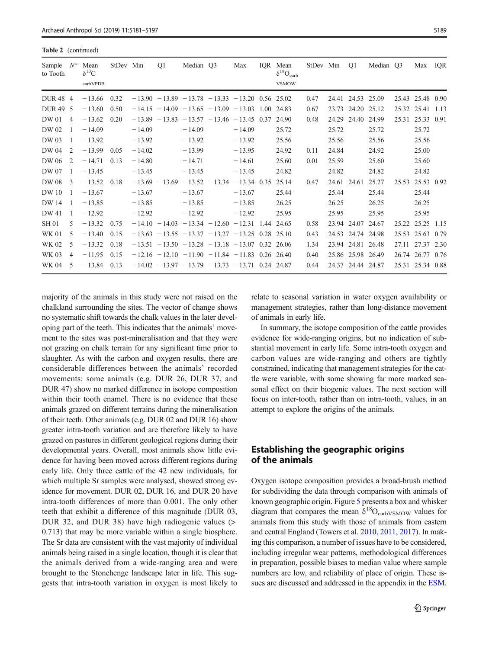Table 2 (continued)

| Sample<br>to Tooth  | $N^*$         | Mean<br>$\delta^{13}C$<br>carbVPDB | StDev Min |          | O <sub>1</sub>   | Median O3                                           |                  | Max           | IOR Mean<br>$\delta^{18}O_{\text{carb}}$<br><b>VSMOW</b> | StDev Min |             | <b>O1</b>         | Median O3 |       | Max IOR          |      |
|---------------------|---------------|------------------------------------|-----------|----------|------------------|-----------------------------------------------------|------------------|---------------|----------------------------------------------------------|-----------|-------------|-------------------|-----------|-------|------------------|------|
| DUR <sub>48</sub> 4 |               | $-13.66$                           | 0.32      |          |                  | $-13.90 - 13.89 - 13.78 - 13.33 - 13.20$ 0.56 25.02 |                  |               |                                                          | 0.47      | 24.41       | 24.53 25.09       |           | 25.43 | 25.48            | 0.90 |
| <b>DUR49</b>        | - 5           | $-13.60$                           | 0.50      |          |                  | $-14.15 - 14.09 - 13.65 - 13.09 - 13.03$ 1.00 24.83 |                  |               |                                                          | 0.67      | 23.73       | 24.20 25.12       |           |       | 25.32 25.41 1.13 |      |
| DW 01               | 4             | $-13.62$                           | 0.20      |          |                  | $-13.89$ $-13.83$ $-13.57$ $-13.46$ $-13.45$ 0.37   |                  |               | 24.90                                                    | 0.48      | 24.29       | 24.40             | 24.99     | 25.31 | 25.33 0.91       |      |
| DW 02               |               | $-14.09$                           |           | $-14.09$ |                  | $-14.09$                                            |                  | $-14.09$      | 25.72                                                    |           | 25.72       |                   | 25.72     |       | 25.72            |      |
| DW 03               |               | $-13.92$                           |           | $-13.92$ |                  | $-13.92$                                            |                  | $-13.92$      | 25.56                                                    |           | 25.56       |                   | 25.56     |       | 25.56            |      |
| DW 04               | 2             | $-13.99$                           | 0.05      | $-14.02$ |                  | $-13.99$                                            |                  | $-13.95$      | 24.92                                                    | 0.11      | 24.84       |                   | 24.92     |       | 25.00            |      |
| DW 06               | $\mathcal{L}$ | $-14.71$                           | 0.13      | $-14.80$ |                  | $-14.71$                                            |                  | $-14.61$      | 25.60                                                    | 0.01      | 25.59       |                   | 25.60     |       | 25.60            |      |
| DW 07               |               | $-13.45$                           |           | $-13.45$ |                  | $-13.45$                                            |                  | $-13.45$      | 24.82                                                    |           | 24.82       |                   | 24.82     |       | 24.82            |      |
| DW 08               | 3             | $-13.52$                           | 0.18      |          | $-13.69 - 13.69$ |                                                     | $-13.52 - 13.34$ | $-13.34$ 0.35 | 25.14                                                    | 0.47      | 24.61 24.61 |                   | 25.27     | 25.53 | 25.53 0.92       |      |
| DW 10               |               | $-13.67$                           |           | $-13.67$ |                  | $-13.67$                                            |                  | $-13.67$      | 25.44                                                    |           | 25.44       |                   | 25.44     |       | 25.44            |      |
| DW 14               |               | $-13.85$                           |           | $-13.85$ |                  | $-13.85$                                            |                  | $-13.85$      | 26.25                                                    |           | 26.25       |                   | 26.25     |       | 26.25            |      |
| DW 41               |               | $-12.92$                           |           | $-12.92$ |                  | $-12.92$                                            |                  | $-12.92$      | 25.95                                                    |           | 25.95       |                   | 25.95     |       | 25.95            |      |
| <b>SH 01</b>        | 5             | $-13.32$                           | 0.75      |          |                  | $-14.10 - 14.03 - 13.34 - 12.60 - 12.31$ 1.44 24.65 |                  |               |                                                          | 0.58      | 23.94       | 24.07             | 24.67     | 25.22 | 25.25            | 1.15 |
| <b>WK 01</b>        | 5             | $-13.40$                           | 0.15      |          |                  | $-13.63 - 13.55 - 13.37 - 13.27 - 13.25$ 0.28       |                  |               | 25.10                                                    | 0.43      | 24.53       | 24.74 24.98       |           | 25.53 | 25.63            | 0.79 |
| WK 02               | 5             | $-13.32$                           | 0.18      |          |                  | $-13.51 - 13.50 - 13.28 - 13.18 - 13.07$ 0.32 26.06 |                  |               |                                                          | 1.34      | 23.94       | 24.81 26.48       |           | 27.11 | 27.37 2.30       |      |
| WK 03               | 4             | $-11.95$                           | 0.15      |          |                  | $-12.16 - 12.10 - 11.90 - 11.84 - 11.83$ 0.26 26.40 |                  |               |                                                          | 0.40      |             | 25.86 25.98 26.49 |           |       | 26.74 26.77      | 0.76 |
| WK 04               | 5             | $-13.84$                           | 0.13      |          |                  | $-14.02 - 13.97 - 13.79 - 13.73 - 13.71$ 0.24 24.87 |                  |               |                                                          | 0.44      |             | 24.37 24.44 24.87 |           |       | 25.31 25.34 0.88 |      |

majority of the animals in this study were not raised on the chalkland surrounding the sites. The vector of change shows no systematic shift towards the chalk values in the later developing part of the teeth. This indicates that the animals' movement to the sites was post-mineralisation and that they were not grazing on chalk terrain for any significant time prior to slaughter. As with the carbon and oxygen results, there are considerable differences between the animals' recorded movements: some animals (e.g. DUR 26, DUR 37, and DUR 47) show no marked difference in isotope composition within their tooth enamel. There is no evidence that these animals grazed on different terrains during the mineralisation of their teeth. Other animals (e.g. DUR 02 and DUR 16) show greater intra-tooth variation and are therefore likely to have grazed on pastures in different geological regions during their developmental years. Overall, most animals show little evidence for having been moved across different regions during early life. Only three cattle of the 42 new individuals, for which multiple Sr samples were analysed, showed strong evidence for movement. DUR 02, DUR 16, and DUR 20 have intra-tooth differences of more than 0.001. The only other teeth that exhibit a difference of this magnitude (DUR 03, DUR 32, and DUR 38) have high radiogenic values (> 0.713) that may be more variable within a single biosphere. The Sr data are consistent with the vast majority of individual animals being raised in a single location, though it is clear that the animals derived from a wide-ranging area and were brought to the Stonehenge landscape later in life. This suggests that intra-tooth variation in oxygen is most likely to relate to seasonal variation in water oxygen availability or management strategies, rather than long-distance movement of animals in early life.

In summary, the isotope composition of the cattle provides evidence for wide-ranging origins, but no indication of substantial movement in early life. Some intra-tooth oxygen and carbon values are wide-ranging and others are tightly constrained, indicating that management strategies for the cattle were variable, with some showing far more marked seasonal effect on their biogenic values. The next section will focus on inter-tooth, rather than on intra-tooth, values, in an attempt to explore the origins of the animals.

# Establishing the geographic origins of the animals

Oxygen isotope composition provides a broad-brush method for subdividing the data through comparison with animals of known geographic origin. Figure [5](#page-13-0) presents a box and whisker diagram that compares the mean  $\delta^{18}O_{\text{carbVSMOW}}$  values for animals from this study with those of animals from eastern and central England (Towers et al. [2010,](#page-15-0) [2011](#page-16-0), [2017](#page-16-0)). In making this comparison, a number of issues have to be considered, including irregular wear patterns, methodological differences in preparation, possible biases to median value where sample numbers are low, and reliability of place of origin. These issues are discussed and addressed in the appendix in the ESM.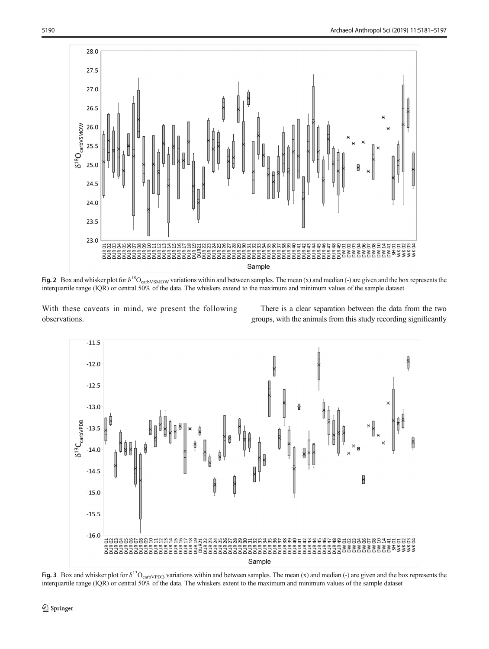<span id="page-9-0"></span>

Fig. 2 Box and whisker plot for  $\delta^{18}O_{\rm carbVSMOW}$  variations within and between samples. The mean (x) and median (-) are given and the box represents the interquartile range (IQR) or central 50% of the data. The whiskers extend to the maximum and minimum values of the sample dataset

With these caveats in mind, we present the following observations.

There is a clear separation between the data from the two groups, with the animals from this study recording significantly



Fig. 3 Box and whisker plot for  $\delta^{13}O_{\text{carbVPDB}}$  variations within and between samples. The mean (x) and median (-) are given and the box represents the interquartile range (IQR) or central 50% of the data. The whiskers extent to the maximum and minimum values of the sample dataset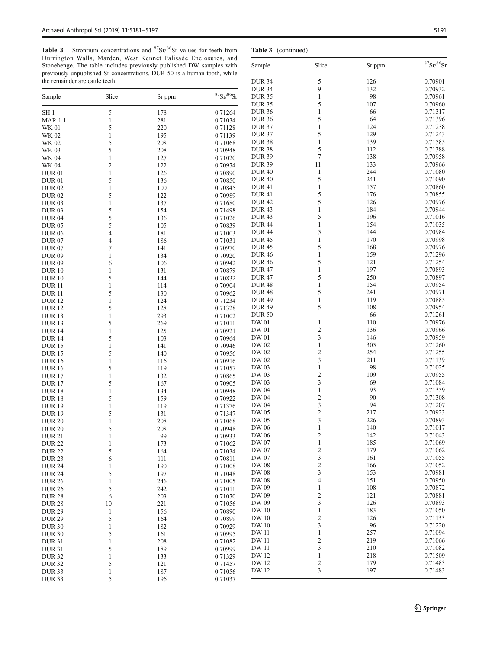DUR 31 5 189 0.70999<br>DUR 32 1 133 0.71329 DUR 32 1 1 133 0.71329 DUR 32 5 121 0.71457<br>DUR 33 1 187 0.71056 DUR 33 1 187 0.71056 DUR 33 5 196 0.71037

<span id="page-10-0"></span>Table 3 Strontium concentrations and  $87\text{Sr}/86\text{Sr}$  values Durrington Walls, Marden, West Kennet Palisad Stonehenge. The table includes previously published previously unpublished Sr concentrations. DUR 50 is a the remainder are cattle teeth

| Table 3                        |                   | Strontium concentrations and ${}^{87}Sr/{}^{86}Sr$ values for teeth from<br>Durrington Walls, Marden, West Kennet Palisade Enclosures, and      |                       | Table 3 (continued)          |                |            |                       |
|--------------------------------|-------------------|-------------------------------------------------------------------------------------------------------------------------------------------------|-----------------------|------------------------------|----------------|------------|-----------------------|
|                                |                   | Stonehenge. The table includes previously published DW samples with<br>previously unpublished Sr concentrations. DUR 50 is a human tooth, while |                       | Sample                       | Slice          | Sr ppm     | ${}^{87}Sr/{}^{86}Si$ |
| the remainder are cattle teeth |                   |                                                                                                                                                 |                       | <b>DUR 34</b>                | 5              | 126        | 0.70901               |
|                                |                   |                                                                                                                                                 |                       | <b>DUR 34</b>                | 9              | 132        | 0.70932               |
| Sample                         | Slice             | Sr ppm                                                                                                                                          | ${}^{87}Sr/{}^{86}Sr$ | <b>DUR 35</b>                | 1              | 98         | 0.70961               |
|                                |                   |                                                                                                                                                 |                       | <b>DUR 35</b>                | 5              | 107        | 0.70960               |
| SH 1                           | 5                 | 178                                                                                                                                             | 0.71264               | <b>DUR 36</b>                | 1              | 66         | 0.71317               |
| MAR 1.1                        | $\mathbf{1}$      | 281                                                                                                                                             | 0.71034               | <b>DUR 36</b>                | 5              | 64         | 0.71396               |
| WK 01                          | 5                 | 220                                                                                                                                             | 0.71128               | <b>DUR 37</b>                | 1              | 124        | 0.71238               |
| WK 02                          | 1                 | 195                                                                                                                                             | 0.71139               | <b>DUR 37</b>                | 5              | 129        | 0.71243               |
| WK 02                          | 5                 | 208                                                                                                                                             | 0.71068               | DUR <sub>38</sub>            | 1              | 139        | 0.71585               |
| WK 03                          | 5                 | 208                                                                                                                                             | 0.70948               | <b>DUR 38</b>                | 5              | 112        | 0.71388               |
| WK 04                          | 1                 | 127                                                                                                                                             | 0.71020               | <b>DUR 39</b>                | 7              | 138        | 0.70958               |
| WK 04                          | $\overline{2}$    | 122                                                                                                                                             | 0.70974               | <b>DUR 39</b>                | 11             | 133        | 0.70966               |
| DUR 01                         | 1                 | 126                                                                                                                                             | 0.70890               | <b>DUR 40</b>                | $\mathbf{1}$   | 244        | 0.71080               |
| DUR 01                         | 5                 | 136                                                                                                                                             | 0.70850               | <b>DUR40</b>                 | 5<br>1         | 241        | 0.71090               |
| <b>DUR 02</b>                  | 1                 | 100                                                                                                                                             | 0.70845               | <b>DUR41</b><br><b>DUR41</b> | 5              | 157<br>176 | 0.70860<br>0.70855    |
| DUR 02                         | 5                 | 122                                                                                                                                             | 0.70989               | <b>DUR42</b>                 | 5              | 126        | 0.70976               |
| <b>DUR 03</b>                  | 1                 | 137                                                                                                                                             | 0.71680               | <b>DUR43</b>                 | 1              | 184        | 0.70944               |
| <b>DUR03</b>                   | 5                 | 154                                                                                                                                             | 0.71498<br>0.71026    | <b>DUR43</b>                 | 5              | 196        | 0.71016               |
| DUR 04                         | 5<br>5            | 136                                                                                                                                             |                       | <b>DUR44</b>                 | 1              | 154        | 0.71035               |
| <b>DUR 05</b>                  |                   | 105                                                                                                                                             | 0.70839               | <b>DUR44</b>                 | 5              | 144        | 0.70984               |
| <b>DUR 06</b>                  | 4                 | 181                                                                                                                                             | 0.71003               | <b>DUR45</b>                 | 1              | 170        | 0.70998               |
| <b>DUR 07</b><br><b>DUR 07</b> | 4                 | 186<br>141                                                                                                                                      | 0.71031<br>0.70970    | <b>DUR45</b>                 | 5              | 168        | 0.70976               |
| DUR 09                         | 7                 | 134                                                                                                                                             | 0.70920               | <b>DUR 46</b>                | 1              | 159        | 0.71296               |
| DUR 09                         | 6                 | 106                                                                                                                                             | 0.70942               | <b>DUR 46</b>                | 5              | 121        | 0.71254               |
| <b>DUR 10</b>                  | 1                 | 131                                                                                                                                             | 0.70879               | <b>DUR47</b>                 | 1              | 197        | 0.70893               |
| DUR 10                         | 5                 | 144                                                                                                                                             | 0.70832               | <b>DUR47</b>                 | 5              | 250        | 0.70897               |
| DUR 11                         | 1                 | 114                                                                                                                                             | 0.70904               | <b>DUR48</b>                 | 1              | 154        | 0.70954               |
| DUR 11                         | 5                 | 130                                                                                                                                             | 0.70962               | <b>DUR48</b>                 | 5              | 241        | 0.70971               |
| DUR 12                         | 1                 | 124                                                                                                                                             | 0.71234               | <b>DUR 49</b>                | $\mathbf{1}$   | 119        | 0.70885               |
| <b>DUR</b> 12                  | 5                 | 128                                                                                                                                             | 0.71328               | <b>DUR 49</b>                | 5              | 108        | 0.70954               |
| DUR 13                         | 1                 | 293                                                                                                                                             | 0.71002               | <b>DUR 50</b>                |                | 66         | 0.71261               |
| DUR 13                         | 5                 | 269                                                                                                                                             | 0.71011               | DW 01                        | 1              | 110        | 0.70976               |
| <b>DUR14</b>                   | 1                 | 125                                                                                                                                             | 0.70921               | DW 01                        | $\overline{c}$ | 136        | 0.70966               |
| DUR 14                         | 5                 | 103                                                                                                                                             | 0.70964               | DW 01                        | 3              | 146        | 0.70959               |
| DUR 15                         | 1                 | 141                                                                                                                                             | 0.70946               | DW 02                        | 1              | 305        | 0.71260               |
| DUR 15                         | 5                 | 140                                                                                                                                             | 0.70956               | DW 02                        | $\overline{c}$ | 254        | 0.71255               |
| <b>DUR</b> 16                  | 1                 | 116                                                                                                                                             | 0.70916               | DW 02                        | 3              | 211        | 0.71139               |
| <b>DUR</b> 16                  | 5                 | 119                                                                                                                                             | 0.71057               | DW 03                        | 1              | 98         | 0.71025               |
| DUR 17                         | 1                 | 132                                                                                                                                             | 0.70865               | DW 03                        | $\overline{c}$ | 109        | 0.70955               |
| DUR 17                         | 5                 | 167                                                                                                                                             | 0.70905               | DW 03                        | 3              | 69         | 0.71084               |
| DUR 18                         | 1                 | 134                                                                                                                                             | 0.70948               | DW 04                        | 1              | 93         | 0.71359               |
| <b>DUR18</b>                   | 5                 | 159                                                                                                                                             | 0.70922               | DW 04                        | 2              | 90         | 0.71308               |
| DUR 19                         | 1                 | 119                                                                                                                                             | 0.71376               | DW 04                        | 3              | 94         | 0.71207               |
| DUR 19                         | 5                 | 131                                                                                                                                             | 0.71347               | DW 05                        | $\mathfrak{D}$ | 217        | 0.70923               |
| <b>DUR 20</b>                  | $\mathbf{1}$      | 208                                                                                                                                             | 0.71068               | DW 05                        | 3              | 226        | 0.70893               |
| <b>DUR 20</b>                  | 5                 | 208                                                                                                                                             | 0.70948               | DW 06                        | 1              | 140        | 0.71017               |
| DUR 21                         | 1                 | 99                                                                                                                                              | 0.70933               | DW 06                        | 2              | 142        | 0.71043               |
| <b>DUR 22</b>                  | 1                 | 173                                                                                                                                             | 0.71062               | DW 07                        | 1              | 185        | 0.71069               |
| DUR 22                         | 5                 | 164                                                                                                                                             | 0.71034               | DW 07                        | $\overline{c}$ | 179        | 0.71062               |
| <b>DUR 23</b>                  | 6                 | 111                                                                                                                                             | 0.70811               | DW 07                        | 3              | 161        | 0.71055               |
| DUR 24                         | 1                 | 190                                                                                                                                             | 0.71008               | DW 08                        | $\overline{c}$ | 166        | 0.71052               |
| <b>DUR 24</b>                  | 5                 | 197                                                                                                                                             | 0.71048               | DW 08                        | 3              | 153        | 0.70981<br>0.70950    |
| DUR 26                         | 1                 | 246                                                                                                                                             | 0.71005               | DW 08                        | 4              | 151        |                       |
| DUR 26                         | 5                 | 242                                                                                                                                             | 0.71011               | DW 09                        | 1              | 108        | 0.70872               |
| DUR 28                         | 6                 | 203                                                                                                                                             | 0.71070               | DW 09                        | 2              | 121        | 0.70881<br>0.70893    |
| DUR 28                         | 10                | 221                                                                                                                                             | 0.71056               | DW 09<br><b>DW</b> 10        | 3<br>1         | 126<br>183 | 0.71050               |
| <b>DUR 29</b>                  | 1                 | 156                                                                                                                                             | 0.70890               | <b>DW</b> 10                 | $\overline{c}$ | 126        | 0.71133               |
| DUR 29                         | 5                 | 164                                                                                                                                             | 0.70899<br>0.70929    | <b>DW</b> 10                 | 3              | 96         | 0.71220               |
| <b>DUR 30</b><br><b>DUR 30</b> | 1                 | 182<br>161                                                                                                                                      | 0.70995               | DW 11                        | 1              | 257        | 0.71094               |
| <b>DUR 31</b>                  | 5<br>$\mathbf{1}$ | 208                                                                                                                                             | 0.71082               | <b>DW</b> 11                 | $\overline{c}$ | 219        | 0.71066               |
|                                |                   |                                                                                                                                                 |                       |                              |                |            |                       |

0.71082 DW 11 3 210 0.71082 218 0.71509 0.71509<br>DW 12 1 218 0.71509<br>2 179 0.71483 DW 12 2 179 0.71483 DW 12 3 197 0.71483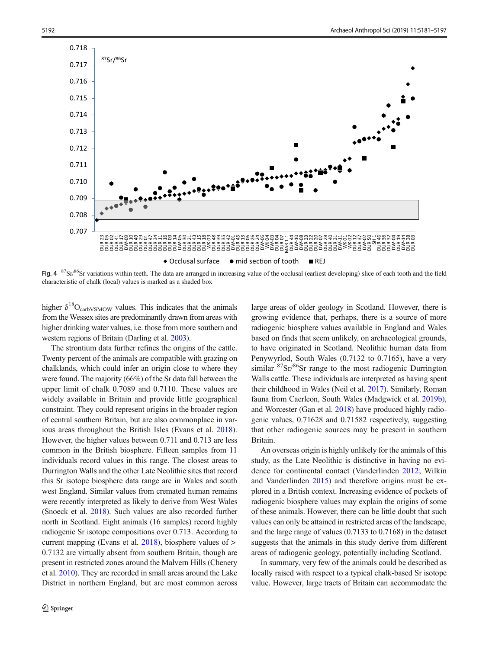<span id="page-11-0"></span>

Fig. 4  $^{87}Sr/86Sr$  variations within teeth. The data are arranged in increasing value of the occlusal (earliest developing) slice of each tooth and the field characteristic of chalk (local) values is marked as a shaded box

higher  $\delta^{18}O_{\text{carbVSMOW}}$  values. This indicates that the animals from the Wessex sites are predominantly drawn from areas with higher drinking water values, i.e. those from more southern and western regions of Britain (Darling et al. [2003](#page-15-0)).

The strontium data further refines the origins of the cattle. Twenty percent of the animals are compatible with grazing on chalklands, which could infer an origin close to where they were found. The majority (66%) of the Sr data fall between the upper limit of chalk 0.7089 and 0.7110. These values are widely available in Britain and provide little geographical constraint. They could represent origins in the broader region of central southern Britain, but are also commonplace in various areas throughout the British Isles (Evans et al. [2018](#page-15-0)). However, the higher values between 0.711 and 0.713 are less common in the British biosphere. Fifteen samples from 11 individuals record values in this range. The closest areas to Durrington Walls and the other Late Neolithic sites that record this Sr isotope biosphere data range are in Wales and south west England. Similar values from cremated human remains were recently interpreted as likely to derive from West Wales (Snoeck et al. [2018\)](#page-15-0). Such values are also recorded further north in Scotland. Eight animals (16 samples) record highly radiogenic Sr isotope compositions over 0.713. According to current mapping (Evans et al. [2018](#page-15-0)), biosphere values of > 0.7132 are virtually absent from southern Britain, though are present in restricted zones around the Malvern Hills (Chenery et al. [2010](#page-15-0)). They are recorded in small areas around the Lake District in northern England, but are most common across large areas of older geology in Scotland. However, there is growing evidence that, perhaps, there is a source of more radiogenic biosphere values available in England and Wales based on finds that seem unlikely, on archaeological grounds, to have originated in Scotland. Neolithic human data from Penywyrlod, South Wales (0.7132 to 0.7165), have a very similar  ${}^{87}Sr/{}^{86}Sr$  range to the most radiogenic Durrington Walls cattle. These individuals are interpreted as having spent their childhood in Wales (Neil et al. [2017\)](#page-15-0). Similarly, Roman fauna from Caerleon, South Wales (Madgwick et al. [2019b\)](#page-15-0), and Worcester (Gan et al. [2018\)](#page-15-0) have produced highly radiogenic values, 0.71628 and 0.71582 respectively, suggesting that other radiogenic sources may be present in southern Britain.

An overseas origin is highly unlikely for the animals of this study, as the Late Neolithic is distinctive in having no evidence for continental contact (Vanderlinden [2012](#page-16-0); Wilkin and Vanderlinden [2015](#page-16-0)) and therefore origins must be explored in a British context. Increasing evidence of pockets of radiogenic biosphere values may explain the origins of some of these animals. However, there can be little doubt that such values can only be attained in restricted areas of the landscape, and the large range of values (0.7133 to 0.7168) in the dataset suggests that the animals in this study derive from different areas of radiogenic geology, potentially including Scotland.

In summary, very few of the animals could be described as locally raised with respect to a typical chalk-based Sr isotope value. However, large tracts of Britain can accommodate the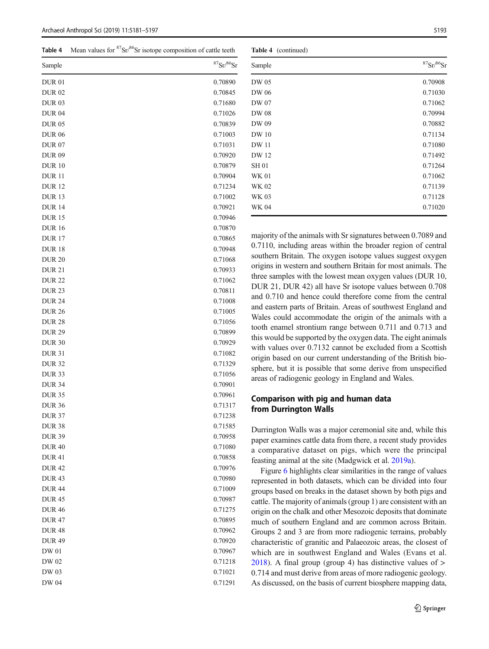<span id="page-12-0"></span>**Table 4** Mean values for  ${}^{87}Sr/{}^{86}Sr$  isotope composition of cattle teeth

| Sample        | ${}^{87}\mathrm{Sr} / {}^{86}\mathrm{Sr}$ |
|---------------|-------------------------------------------|
| <b>DUR01</b>  | 0.70890                                   |
| <b>DUR02</b>  | 0.70845                                   |
| <b>DUR03</b>  | 0.71680                                   |
| <b>DUR 04</b> | 0.71026                                   |
| <b>DUR 05</b> | 0.70839                                   |
| <b>DUR 06</b> | 0.71003                                   |
| <b>DUR 07</b> | 0.71031                                   |
| <b>DUR 09</b> | 0.70920                                   |
| <b>DUR10</b>  | 0.70879                                   |
| <b>DUR11</b>  | 0.70904                                   |
| <b>DUR12</b>  | 0.71234                                   |
| <b>DUR13</b>  | 0.71002                                   |
| <b>DUR14</b>  | 0.70921                                   |
| <b>DUR15</b>  | 0.70946                                   |
| <b>DUR16</b>  | 0.70870                                   |
| <b>DUR17</b>  | 0.70865                                   |
| <b>DUR18</b>  | 0.70948                                   |
| <b>DUR 20</b> | 0.71068                                   |
| <b>DUR 21</b> | 0.70933                                   |
| <b>DUR22</b>  | 0.71062                                   |
| <b>DUR 23</b> | 0.70811                                   |
| <b>DUR 24</b> | 0.71008                                   |
| <b>DUR 26</b> | 0.71005                                   |
| <b>DUR 28</b> | 0.71056                                   |
| <b>DUR 29</b> | 0.70899                                   |
| <b>DUR 30</b> | 0.70929                                   |
| <b>DUR 31</b> | 0.71082                                   |
| <b>DUR32</b>  | 0.71329                                   |
| <b>DUR33</b>  | 0.71056                                   |
| <b>DUR 34</b> | 0.70901                                   |
| <b>DUR 35</b> | 0.70961                                   |
| <b>DUR 36</b> | 0.71317                                   |
| <b>DUR 37</b> | 0.71238                                   |
| <b>DUR 38</b> | 0.71585                                   |
| <b>DUR 39</b> | 0.70958                                   |
| <b>DUR40</b>  | 0.71080                                   |
| <b>DUR41</b>  | 0.70858                                   |
| <b>DUR42</b>  | 0.70976                                   |
| <b>DUR43</b>  | 0.70980                                   |
| <b>DUR44</b>  | 0.71009                                   |
| <b>DUR45</b>  | 0.70987                                   |
| <b>DUR46</b>  | 0.71275                                   |
| <b>DUR47</b>  | 0.70895                                   |
| <b>DUR48</b>  | 0.70962                                   |
| <b>DUR49</b>  | 0.70920                                   |
| DW 01         | 0.70967                                   |
| DW 02         | 0.71218                                   |
| DW 03         | 0.71021                                   |
| DW 04         | 0.71291                                   |
|               |                                           |

Table 4 (continued)

| Sample       | $87$ Sr $/86$ Sr |
|--------------|------------------|
| DW 05        | 0.70908          |
| DW 06        | 0.71030          |
| DW 07        | 0.71062          |
| <b>DW 08</b> | 0.70994          |
| DW 09        | 0.70882          |
| <b>DW</b> 10 | 0.71134          |
| <b>DW11</b>  | 0.71080          |
| DW 12        | 0.71492          |
| <b>SH 01</b> | 0.71264          |
| <b>WK 01</b> | 0.71062          |
| <b>WK 02</b> | 0.71139          |
| WK 03        | 0.71128          |
| <b>WK 04</b> | 0.71020          |

majority of the animals with Sr signatures between 0.7089 and 0.7110, including areas within the broader region of central southern Britain. The oxygen isotope values suggest oxygen origins in western and southern Britain for most animals. The three samples with the lowest mean oxygen values (DUR 10, DUR 21, DUR 42) all have Sr isotope values between 0.708 and 0.710 and hence could therefore come from the central and eastern parts of Britain. Areas of southwest England and Wales could accommodate the origin of the animals with a tooth enamel strontium range between 0.711 and 0.713 and this would be supported by the oxygen data. The eight animals with values over 0.7132 cannot be excluded from a Scottish origin based on our current understanding of the British biosphere, but it is possible that some derive from unspecified areas of radiogenic geology in England and Wales.

# Comparison with pig and human data from Durrington Walls

Durrington Walls was a major ceremonial site and, while this paper examines cattle data from there, a recent study provides a comparative dataset on pigs, which were the principal feasting animal at the site (Madgwick et al. [2019a\)](#page-15-0).

Figure [6](#page-13-0) highlights clear similarities in the range of values represented in both datasets, which can be divided into four groups based on breaks in the dataset shown by both pigs and cattle. The majority of animals (group 1) are consistent with an origin on the chalk and other Mesozoic deposits that dominate much of southern England and are common across Britain. Groups 2 and 3 are from more radiogenic terrains, probably characteristic of granitic and Palaeozoic areas, the closest of which are in southwest England and Wales (Evans et al. [2018\)](#page-15-0). A final group (group 4) has distinctive values of > 0.714 and must derive from areas of more radiogenic geology. As discussed, on the basis of current biosphere mapping data,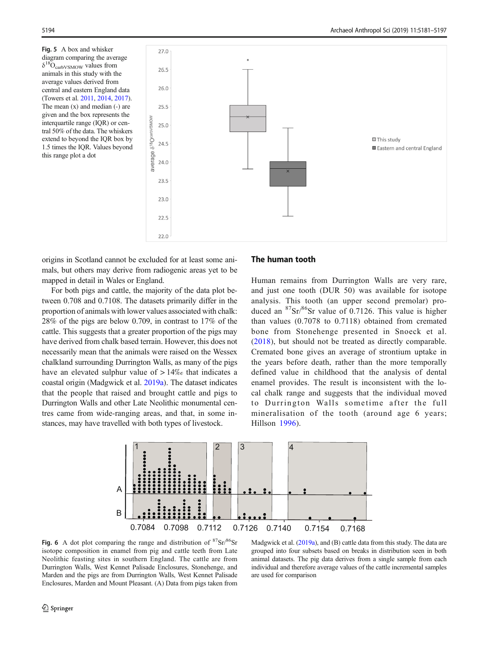<span id="page-13-0"></span>Fig. 5 A box and whisker diagram comparing the average  $\delta^{18}O_{\text{carbVSMOW}}$  values from animals in this study with the average values derived from central and eastern England data (Towers et al. [2011](#page-16-0), [2014](#page-16-0), [2017](#page-16-0)). The mean (x) and median (-) are given and the box represents the interquartile range (IQR) or central 50% of the data. The whiskers extend to beyond the IQR box by 1.5 times the IQR. Values beyond this range plot a dot



origins in Scotland cannot be excluded for at least some animals, but others may derive from radiogenic areas yet to be mapped in detail in Wales or England.

For both pigs and cattle, the majority of the data plot between 0.708 and 0.7108. The datasets primarily differ in the proportion of animals with lower values associated with chalk: 28% of the pigs are below 0.709, in contrast to 17% of the cattle. This suggests that a greater proportion of the pigs may have derived from chalk based terrain. However, this does not necessarily mean that the animals were raised on the Wessex chalkland surrounding Durrington Walls, as many of the pigs have an elevated sulphur value of > 14‰ that indicates a coastal origin (Madgwick et al. [2019a](#page-15-0)). The dataset indicates that the people that raised and brought cattle and pigs to Durrington Walls and other Late Neolithic monumental centres came from wide-ranging areas, and that, in some instances, may have travelled with both types of livestock.

## The human tooth

Human remains from Durrington Walls are very rare, and just one tooth (DUR 50) was available for isotope analysis. This tooth (an upper second premolar) produced an  ${}^{87}Sr/{}^{86}Sr$  value of 0.7126. This value is higher than values (0.7078 to 0.7118) obtained from cremated bone from Stonehenge presented in Snoeck et al. [\(2018\)](#page-15-0), but should not be treated as directly comparable. Cremated bone gives an average of strontium uptake in the years before death, rather than the more temporally defined value in childhood that the analysis of dental enamel provides. The result is inconsistent with the local chalk range and suggests that the individual moved to Durrington Walls sometime after the full mineralisation of the tooth (around age 6 years; Hillson [1996\)](#page-15-0).



Fig. 6 A dot plot comparing the range and distribution of  $87\text{Sr}/86\text{Sr}$ isotope composition in enamel from pig and cattle teeth from Late Neolithic feasting sites in southern England. The cattle are from Durrington Walls, West Kennet Palisade Enclosures, Stonehenge, and Marden and the pigs are from Durrington Walls, West Kennet Palisade Enclosures, Marden and Mount Pleasant. (A) Data from pigs taken from

Madgwick et al. [\(2019a\)](#page-15-0), and (B) cattle data from this study. The data are grouped into four subsets based on breaks in distribution seen in both animal datasets. The pig data derives from a single sample from each individual and therefore average values of the cattle incremental samples are used for comparison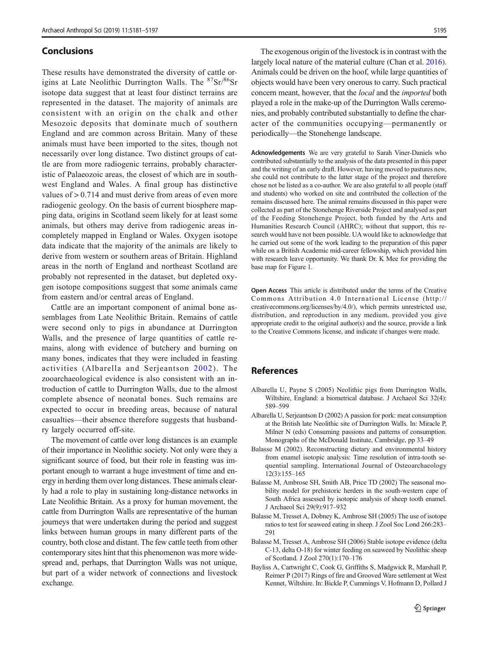## <span id="page-14-0"></span>Conclusions

These results have demonstrated the diversity of cattle origins at Late Neolithic Durrington Walls. The  $87\text{Sr}/86\text{Sr}$ isotope data suggest that at least four distinct terrains are represented in the dataset. The majority of animals are consistent with an origin on the chalk and other Mesozoic deposits that dominate much of southern England and are common across Britain. Many of these animals must have been imported to the sites, though not necessarily over long distance. Two distinct groups of cattle are from more radiogenic terrains, probably characteristic of Palaeozoic areas, the closest of which are in southwest England and Wales. A final group has distinctive values of > 0.714 and must derive from areas of even more radiogenic geology. On the basis of current biosphere mapping data, origins in Scotland seem likely for at least some animals, but others may derive from radiogenic areas incompletely mapped in England or Wales. Oxygen isotope data indicate that the majority of the animals are likely to derive from western or southern areas of Britain. Highland areas in the north of England and northeast Scotland are probably not represented in the dataset, but depleted oxygen isotope compositions suggest that some animals came from eastern and/or central areas of England.

Cattle are an important component of animal bone assemblages from Late Neolithic Britain. Remains of cattle were second only to pigs in abundance at Durrington Walls, and the presence of large quantities of cattle remains, along with evidence of butchery and burning on many bones, indicates that they were included in feasting activities (Albarella and Serjeantson 2002). The zooarchaeological evidence is also consistent with an introduction of cattle to Durrington Walls, due to the almost complete absence of neonatal bones. Such remains are expected to occur in breeding areas, because of natural casualties—their absence therefore suggests that husbandry largely occurred off-site.

The movement of cattle over long distances is an example of their importance in Neolithic society. Not only were they a significant source of food, but their role in feasting was important enough to warrant a huge investment of time and energy in herding them over long distances. These animals clearly had a role to play in sustaining long-distance networks in Late Neolithic Britain. As a proxy for human movement, the cattle from Durrington Walls are representative of the human journeys that were undertaken during the period and suggest links between human groups in many different parts of the country, both close and distant. The few cattle teeth from other contemporary sites hint that this phenomenon was more widespread and, perhaps, that Durrington Walls was not unique, but part of a wider network of connections and livestock exchange.

The exogenous origin of the livestock is in contrast with the largely local nature of the material culture (Chan et al. [2016\)](#page-15-0). Animals could be driven on the hoof, while large quantities of objects would have been very onerous to carry. Such practical concern meant, however, that the local and the imported both played a role in the make-up of the Durrington Walls ceremonies, and probably contributed substantially to define the character of the communities occupying—permanently or periodically—the Stonehenge landscape.

Acknowledgements We are very grateful to Sarah Viner-Daniels who contributed substantially to the analysis of the data presented in this paper and the writing of an early draft. However, having moved to pastures new, she could not contribute to the latter stage of the project and therefore chose not be listed as a co-author. We are also grateful to all people (staff and students) who worked on site and contributed the collection of the remains discussed here. The animal remains discussed in this paper were collected as part of the Stonehenge Riverside Project and analysed as part of the Feeding Stonehenge Project, both funded by the Arts and Humanities Research Council (AHRC); without that support, this research would have not been possible. UA would like to acknowledge that he carried out some of the work leading to the preparation of this paper while on a British Academic mid-career fellowship, which provided him with research leave opportunity. We thank Dr. K Mee for providing the base map for Figure [1.](#page-1-0)

Open Access This article is distributed under the terms of the Creative Commons Attribution 4.0 International License (http:// creativecommons.org/licenses/by/4.0/), which permits unrestricted use, distribution, and reproduction in any medium, provided you give appropriate credit to the original author(s) and the source, provide a link to the Creative Commons license, and indicate if changes were made.

# **References**

- Albarella U, Payne S (2005) Neolithic pigs from Durrington Walls, Wiltshire, England: a biometrical database. J Archaeol Sci 32(4): 589–599
- Albarella U, Serjeantson D (2002) A passion for pork: meat consumption at the British late Neolithic site of Durrington Walls. In: Miracle P, Milner N (eds) Consuming passions and patterns of consumption. Monographs of the McDonald Institute, Cambridge, pp 33–49
- Balasse M (2002). Reconstructing dietary and environmental history from enamel isotopic analysis: Time resolution of intra-tooth sequential sampling. International Journal of Osteoarchaeology 12(3):155–165
- Balasse M, Ambrose SH, Smith AB, Price TD (2002) The seasonal mobility model for prehistoric herders in the south-western cape of South Africa assessed by isotopic analysis of sheep tooth enamel. J Archaeol Sci 29(9):917–932
- Balasse M, Tresset A, Dobney K, Ambrose SH (2005) The use of isotope ratios to test for seaweed eating in sheep. J Zool Soc Lond 266:283– 291
- Balasse M, Tresset A, Ambrose SH (2006) Stable isotope evidence (delta C-13, delta O-18) for winter feeding on seaweed by Neolithic sheep of Scotland. J Zool 270(1):170–176
- Bayliss A, Cartwright C, Cook G, Griffiths S, Madgwick R, Marshall P, Reimer P (2017) Rings of fire and Grooved Ware settlement at West Kennet, Wiltshire. In: Bickle P, Cummings V, Hofmann D, Pollard J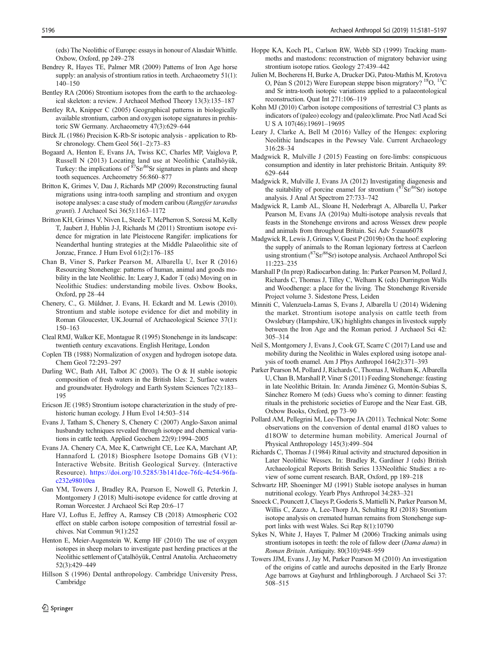<span id="page-15-0"></span>(eds) The Neolithic of Europe: essays in honour of Alasdair Whittle. Oxbow, Oxford, pp 249–278

- Bendrey R, Hayes TE, Palmer MR (2009) Patterns of Iron Age horse supply: an analysis of strontium ratios in teeth. Archaeometry 51(1): 140–150
- Bentley RA (2006) Strontium isotopes from the earth to the archaeological skeleton: a review. J Archaeol Method Theory 13(3):135–187
- Bentley RA, Knipper C (2005) Geographical patterns in biologically available strontium, carbon and oxygen isotope signatures in prehistoric SW Germany. Archaeometry 47(3):629–644
- Birck JL (1986) Precision K-Rb-Sr isotopic analysis application to Rb-Sr chronology. Chem Geol 56(1–2):73–83
- Bogaard A, Henton E, Evans JA, Twiss KC, Charles MP, Vaiglova P, Russell N (2013) Locating land use at Neolithic Çatalhöyük, Turkey: the implications of <sup>87</sup>Sr/<sup>86</sup>Sr signatures in plants and sheep tooth sequences. Archeometry 56:860–877
- Britton K, Grimes V, Dau J, Richards MP (2009) Reconstructing faunal migrations using intra-tooth sampling and strontium and oxygen isotope analyses: a case study of modern caribou (Rangifer tarandus granti). J Archaeol Sci 36(5):1163–1172
- Britton KH, Grimes V, Niven L, Steele T, McPherron S, Soressi M, Kelly T, Jaubert J, Hublin J-J, Richards M (2011) Strontium isotope evidence for migration in late Pleistocene Rangifer: implications for Neanderthal hunting strategies at the Middle Palaeolithic site of Jonzac, France. J Hum Evol 61(2):176–185
- Chan B, Viner S, Parker Pearson M, Albarella U, Ixer R (2016) Resourcing Stonehenge: patterns of human, animal and goods mobility in the late Neolithic. In: Leary J, Kador T (eds) Moving on in Neolithic Studies: understanding mobile lives. Oxbow Books, Oxford, pp 28–44
- Chenery, C., G. Müldner, J. Evans, H. Eckardt and M. Lewis (2010). Strontium and stable isotope evidence for diet and mobility in Roman Gloucester, UK.Journal of Archaeological Science 37(1): 150–163
- Cleal RMJ, Walker KE, Montague R (1995) Stonehenge in its landscape: twentieth century excavations. English Heritage, London
- Coplen TB (1988) Normalization of oxygen and hydrogen isotope data. Chem Geol 72:293–297
- Darling WC, Bath AH, Talbot JC (2003). The O & H stable isotopic composition of fresh waters in the British Isles: 2, Surface waters and groundwater. Hydrology and Earth System Sciences 7(2):183– 195
- Ericson JE (1985) Strontium isotope characterization in the study of prehistoric human ecology. J Hum Evol 14:503–514
- Evans J, Tatham S, Chenery S, Chenery C (2007) Anglo-Saxon animal husbandry techniques revealed through isotope and chemical variations in cattle teeth. Applied Geochem 22(9):1994–2005
- Evans JA. Chenery CA, Mee K, Cartwright CE, Lee KA, Marchant AP, Hannaford L (2018) Biosphere Isotope Domains GB (V1): Interactive Website. British Geological Survey. (Interactive Resource). [https://doi.org/10.5285/3b141dce-76fc-4c54-96fa](https://doi.org/10.5285/3b141dce-76fc-4c54-96fa-c232e98010ea)[c232e98010ea](https://doi.org/10.5285/3b141dce-76fc-4c54-96fa-c232e98010ea)
- Gan YM, Towers J, Bradley RA, Pearson E, Nowell G, Peterkin J, Montgomery J (2018) Multi-isotope evidence for cattle droving at Roman Worcester. J Archaeol Sci Rep 20:6–17
- Hare VJ, Loftus E, Jeffrey A, Ramsey CB (2018) Atmospheric CO2 effect on stable carbon isotope composition of terrestrial fossil archives. Nat Commun 9(1):252
- Henton E, Meier-Augenstein W, Kemp HF (2010) The use of oxygen isotopes in sheep molars to investigate past herding practices at the Neolithic settlement of Çatalhöyük, Central Anatolia. Archaeometry 52(3):429–449
- Hillson S (1996) Dental anthropology. Cambridge University Press, Cambridge
- Hoppe KA, Koch PL, Carlson RW, Webb SD (1999) Tracking mammoths and mastodons: reconstruction of migratory behavior using strontium isotope ratios. Geology 27:439–442
- Julien M, Bocherens H, Burke A, Drucker DG, Patou-Mathis M, Krotova O, Péan S (2012) Were European steppe bison migratory? <sup>18</sup>O, <sup>13</sup>C and Sr intra-tooth isotopic variations applied to a palaeontological reconstruction. Quat Int 271:106–119
- Kohn MJ (2010) Carbon isotope compositions of terrestrial C3 plants as indicators of (paleo) ecology and (paleo)climate. Proc Natl Acad Sci U S A 107(46):19691–19695
- Leary J, Clarke A, Bell M (2016) Valley of the Henges: exploring Neolithic landscapes in the Pewsey Vale. Current Archaeology 316:28–34
- Madgwick R, Mulville J (2015) Feasting on fore-limbs: conspicuous consumption and identity in later prehistoric Britain. Antiquity 89: 629–644
- Madgwick R, Mulville J, Evans JA (2012) Investigating diagenesis and the suitability of porcine enamel for strontium  $(^{87}Sr)^{86}Sr$ ) isotope analysis. J Anal At Spectrom 27:733–742
- Madgwick R, Lamb AL, Sloane H, Nederbragt A, Albarella U, Parker Pearson M, Evans JA (2019a) Multi-isotope analysis reveals that feasts in the Stonehenge environs and across Wessex drew people and animals from throughout Britain. Sci Adv 5:eaau6078
- Madgwick R, Lewis J, Grimes V, Guest P (2019b) On the hoof: exploring the supply of animals to the Roman legionary fortress at Caerleon using strontium (<sup>87</sup>Sr/<sup>86</sup>Sr) isotope analysis. Archaeol Anthropol Sci 11:223–235
- Marshall P (In prep) Radiocarbon dating. In: Parker Pearson M, Pollard J, Richards C, Thomas J, Tilley C, Welham K (eds) Durrington Walls and Woodhenge: a place for the living. The Stonehenge Riverside Project volume 3. Sidestone Press, Leiden
- Minniti C, Valenzuela-Lamas S, Evans J, Albarella U (2014) Widening the market. Strontium isotope analysis on cattle teeth from Owslebury (Hampshire, UK) highlights changes in livestock supply between the Iron Age and the Roman period. J Archaeol Sci 42: 305–314
- Neil S, Montgomery J, Evans J, Cook GT, Scarre C (2017) Land use and mobility during the Neolithic in Wales explored using isotope analysis of tooth enamel. Am J Phys Anthropol 164(2):371–393
- Parker Pearson M, Pollard J, Richards C, Thomas J, Welham K, Albarella U, Chan B, Marshall P, Viner S (2011) Feeding Stonehenge: feasting in late Neolithic Britain. In: Aranda Jiménez G, Montón-Subias S, Sánchez Romero M (eds) Guess who's coming to dinner: feasting rituals in the prehistoric societies of Europe and the Near East. GB, Oxbow Books, Oxford, pp 73–90
- Pollard AM, Pellegrini M, Lee-Thorpe JA (2011). Technical Note: Some observations on the conversion of dental enamal d18O values to d18OW to determine human mobility. Americal Journal of Physical Anthropology 145(3):499–504
- Richards C, Thomas J (1984) Ritual activity and structured deposition in Later Neolithic Wessex. In: Bradley R, Gardiner J (eds) British Archaeological Reports British Series 133Neolithic Studies: a review of some current research. BAR, Oxford, pp 189–218
- Schwartz HP, Shoeninger MJ (1991) Stable isotope analyses in human nutritional ecology. Yearb Phys Anthropol 34:283–321
- Snoeck C, Pouncett J, Claeys P, Goderis S, Mattielli N, Parker Pearson M, Willis C, Zazzo A, Lee-Thorp JA, Schulting RJ (2018) Strontium isotope analysis on cremated human remains from Stonehenge support links with west Wales. Sci Rep 8(1):10790
- Sykes N, White J, Hayes T, Palmer M (2006) Tracking animals using strontium isotopes in teeth: the role of fallow deer (Dama dama) in Roman Britain. Antiquity. 80(310):948–959
- Towers JJM, Evans J, Jay M, Parker Pearson M (2010) An investigation of the origins of cattle and aurochs deposited in the Early Bronze Age barrows at Gayhurst and Irthlingborough. J Archaeol Sci 37: 508–515